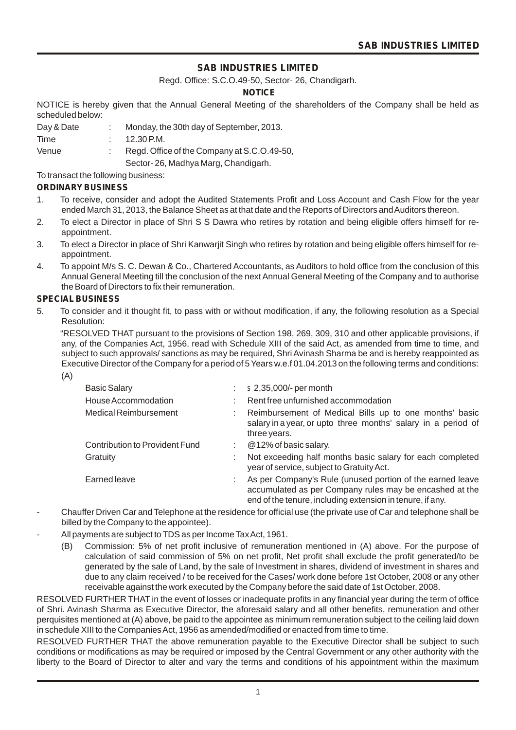Regd. Office: S.C.O.49-50, Sector- 26, Chandigarh.

### **NOTICE**

NOTICE is hereby given that the Annual General Meeting of the shareholders of the Company shall be held as scheduled below:

| Day & Date | Monday, the 30th day of September, 2013.    |
|------------|---------------------------------------------|
| Time       | $12.30 \text{ P.M.}$                        |
| Venue      | Regd. Office of the Company at S.C.O.49-50, |

Sector- 26, Madhya Marg, Chandigarh.

To transact the following business:

### **ORDINARY BUSINESS**

- 1. To receive, consider and adopt the Audited Statements Profit and Loss Account and Cash Flow for the year ended March 31, 2013, the Balance Sheet as at that date and the Reports of Directors and Auditors thereon.
- 2. To elect a Director in place of Shri S S Dawra who retires by rotation and being eligible offers himself for reappointment.
- 3. To elect a Director in place of Shri Kanwarjit Singh who retires by rotation and being eligible offers himself for reappointment.
- 4. To appoint M/s S. C. Dewan & Co., Chartered Accountants, as Auditors to hold office from the conclusion of this Annual General Meeting till the conclusion of the next Annual General Meeting of the Company and to authorise the Board of Directors to fix their remuneration.

### **SPECIAL BUSINESS**

5. To consider and it thought fit, to pass with or without modification, if any, the following resolution as a Special Resolution:

"RESOLVED THAT pursuant to the provisions of Section 198, 269, 309, 310 and other applicable provisions, if any, of the Companies Act, 1956, read with Schedule XIII of the said Act, as amended from time to time, and subject to such approvals/ sanctions as may be required, Shri Avinash Sharma be and is hereby reappointed as Executive Director of the Company for a period of 5 Years w.e.f 01.04.2013 on the following terms and conditions:

(A)

| <b>Basic Salary</b>                   | s 2,35,000/- per month                                                                                                                                                            |
|---------------------------------------|-----------------------------------------------------------------------------------------------------------------------------------------------------------------------------------|
| House Accommodation                   | Rent free unfurnished accommodation                                                                                                                                               |
| <b>Medical Reimbursement</b>          | Reimbursement of Medical Bills up to one months' basic<br>salary in a year, or upto three months' salary in a period of<br>three years.                                           |
| <b>Contribution to Provident Fund</b> | @12% of basic salary.                                                                                                                                                             |
| Gratuity                              | Not exceeding half months basic salary for each completed<br>year of service, subject to Gratuity Act.                                                                            |
| Earned leave                          | As per Company's Rule (unused portion of the earned leave<br>accumulated as per Company rules may be encashed at the<br>end of the tenure, including extension in tenure, if any. |
|                                       |                                                                                                                                                                                   |

- Chauffer Driven Car and Telephone at the residence for official use (the private use of Car and telephone shall be billed by the Company to the appointee).
- All payments are subject to TDS as per Income Tax Act, 1961.
	- (B) Commission: 5% of net profit inclusive of remuneration mentioned in (A) above. For the purpose of calculation of said commission of 5% on net profit, Net profit shall exclude the profit generated/to be generated by the sale of Land, by the sale of Investment in shares, dividend of investment in shares and due to any claim received / to be received for the Cases/ work done before 1st October, 2008 or any other receivable against the work executed by the Company before the said date of 1st October, 2008.

RESOLVED FURTHER THAT in the event of losses or inadequate profits in any financial year during the term of office of Shri. Avinash Sharma as Executive Director, the aforesaid salary and all other benefits, remuneration and other perquisites mentioned at (A) above, be paid to the appointee as minimum remuneration subject to the ceiling laid down in schedule XIII to the Companies Act, 1956 as amended/modified or enacted from time to time.

RESOLVED FURTHER THAT the above remuneration payable to the Executive Director shall be subject to such conditions or modifications as may be required or imposed by the Central Government or any other authority with the liberty to the Board of Director to alter and vary the terms and conditions of his appointment within the maximum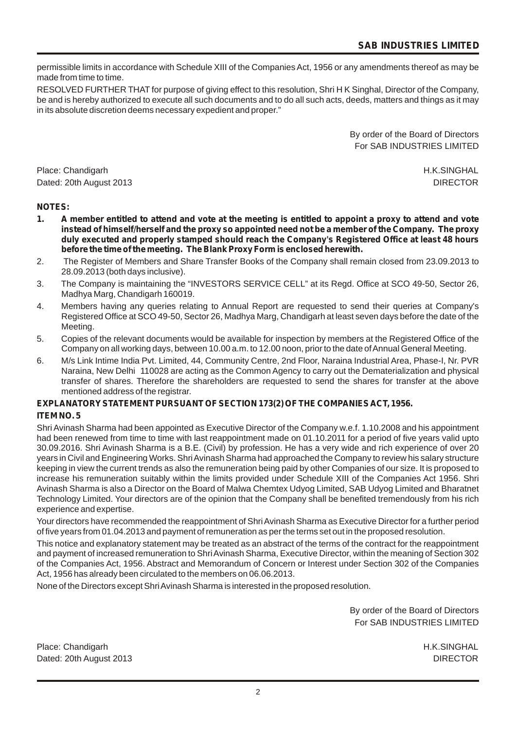permissible limits in accordance with Schedule XIII of the Companies Act, 1956 or any amendments thereof as may be made from time to time.

RESOLVED FURTHER THAT for purpose of giving effect to this resolution, Shri H K Singhal, Director of the Company, be and is hereby authorized to execute all such documents and to do all such acts, deeds, matters and things as it may in its absolute discretion deems necessary expedient and proper."

> By order of the Board of Directors For SAB INDUSTRIES LIMITED

Place: Chandigarh **H.K.SINGHAL** Dated: 20th August 2013 **Director** Control of the United States of the United States of the United States of the United States of the United States of the United States of the United States of the United States of the Unit

### **NOTES:**

- **1. A member entitled to attend and vote at the meeting is entitled to appoint a proxy to attend and vote instead of himself/herself and the proxy so appointed need not be a member of the Company. The proxy duly executed and properly stamped should reach the Company's Registered Office at least 48 hours before the time of the meeting. The Blank Proxy Form is enclosed herewith.**
- 2. The Register of Members and Share Transfer Books of the Company shall remain closed from 23.09.2013 to 28.09.2013 (both days inclusive).
- 3. The Company is maintaining the "INVESTORS SERVICE CELL" at its Regd. Office at SCO 49-50, Sector 26, Madhya Marg, Chandigarh 160019.
- 4. Members having any queries relating to Annual Report are requested to send their queries at Company's Registered Office at SCO 49-50, Sector 26, Madhya Marg, Chandigarh at least seven days before the date of the Meeting.
- 5. Copies of the relevant documents would be available for inspection by members at the Registered Office of the Company on all working days, between 10.00 a.m. to 12.00 noon, prior to the date of Annual General Meeting.
- 6. M/s Link Intime India Pvt. Limited, 44, Community Centre, 2nd Floor, Naraina Industrial Area, Phase-I, Nr. PVR Naraina, New Delhi 110028 are acting as the Common Agency to carry out the Dematerialization and physical transfer of shares. Therefore the shareholders are requested to send the shares for transfer at the above mentioned address of the registrar.

### **EXPLANATORYSTATEMENT PURSUANT OF SECTION 173(2) OF THE COMPANIES ACT, 1956.**

### **ITEM NO. 5**

Shri Avinash Sharma had been appointed as Executive Director of the Company w.e.f. 1.10.2008 and his appointment had been renewed from time to time with last reappointment made on 01.10.2011 for a period of five years valid upto 30.09.2016. Shri Avinash Sharma is a B.E. (Civil) by profession. He has a very wide and rich experience of over 20 years in Civil and Engineering Works. Shri Avinash Sharma had approached the Company to review his salary structure keeping in view the current trends as also the remuneration being paid by other Companies of our size. It is proposed to increase his remuneration suitably within the limits provided under Schedule XIII of the Companies Act 1956. Shri Avinash Sharma is also a Director on the Board of Malwa Chemtex Udyog Limited, SAB Udyog Limited and Bharatnet Technology Limited. Your directors are of the opinion that the Company shall be benefited tremendously from his rich experience and expertise.

Your directors have recommended the reappointment of Shri Avinash Sharma as Executive Director for a further period of five years from 01.04.2013 and payment of remuneration as per the terms set out in the proposed resolution.

This notice and explanatory statement may be treated as an abstract of the terms of the contract for the reappointment and payment of increased remuneration to Shri Avinash Sharma, Executive Director, within the meaning of Section 302 of the Companies Act, 1956. Abstract and Memorandum of Concern or Interest under Section 302 of the Companies Act, 1956 has already been circulated to the members on 06.06.2013.

None of the Directors except Shri Avinash Sharma is interested in the proposed resolution.

By order of the Board of Directors For SAB INDUSTRIES LIMITED

Place: Chandigarh **H.K.SINGHAL** Dated: 20th August 2013 DIRECTOR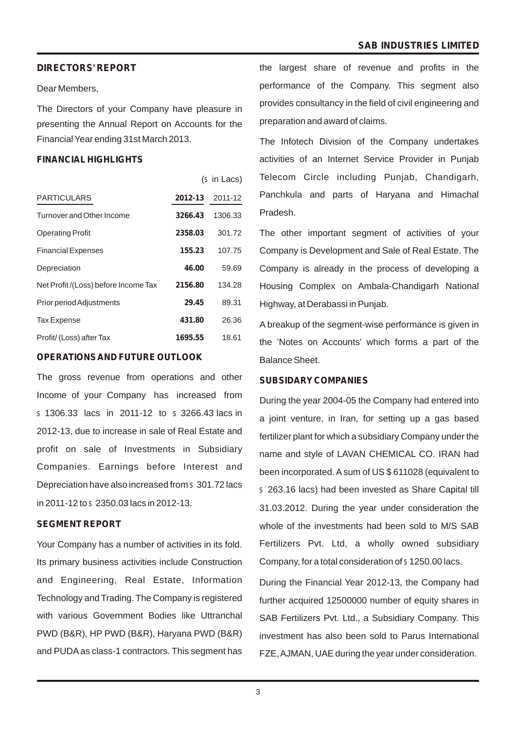presenting the Annual Report on Accounts for the preparation and award of claims. Financial Year ending 31st March 2013. The Infotech Division of the Company undertakes

|                                      | (s in Lacs) | Telecom |           |  |
|--------------------------------------|-------------|---------|-----------|--|
| <b>PARTICULARS</b>                   | 2012-13     | 2011-12 | Panchku   |  |
| Turnover and Other Income            | 3266.43     | 1306.33 | Pradesh.  |  |
| <b>Operating Profit</b>              | 2358.03     | 301.72  | The othe  |  |
| <b>Financial Expenses</b>            | 155.23      | 107.75  | Company   |  |
| Depreciation                         | 46.00       | 59.69   | Company   |  |
| Net Profit /(Loss) before Income Tax | 2156.80     | 134.28  | Housing   |  |
| Prior period Adjustments             | 29.45       | 89.31   | Highway,  |  |
| Tax Expense                          | 431.80      | 26.36   | A breaku  |  |
| Profit/ (Loss) after Tax             | 1695.55     | 18.61   | the 'Note |  |
|                                      |             |         |           |  |

### **OPERATIONS AND FUTURE OUTLOOK** Balance Sheet.

The gross revenue from operations and other **SUBSIDARY COMPANIES** Income of your Company has increased from During the year 2004-05 the Company had entered into s 1306.33 lacs in 2011-12 to s 3266.43 lacs in profit on sale of Investments in Subsidiary Companies. Earnings before Interest and Depreciation have also increased from s 301.72 lacs

Its primary business activities include Construction Company, for a total consideration of s1250.00 lacs. and Engineering, Real Estate, Information During the Financial Year 2012-13, the Company had

**DIRECTORS' REPORT** the largest share of revenue and profits in the Dear Members. **performance** of the Company. This segment also provides consultancy in the field of civil engineering and The Directors of your Company have pleasure in

**FINANCIAL HIGHLIGHTS** activities of an Internet Service Provider in Punjab Telecom Circle including Punjab, Chandigarh, Panchkula and parts of Haryana and Himachal

> The other important segment of activities of your **Company is Development and Sale of Real Estate. The** Company is already in the process of developing a Housing Complex on Ambala-Chandigarh National Highway, at Derabassi in Punjab.

> A breakup of the segment-wise performance is given in the 'Notes on Accounts' which forms a part of the

a joint venture, in Iran, for setting up a gas based 2012-13, due to increase in sale of Real Estate and fertilizer plant for which a subsidiary Company under the name and style of LAVAN CHEMICAL CO. IRAN had been incorporated. Asum of US \$ 611028 (equivalent to s 263.16 lacs) had been invested as Share Capital till in 2011-12 to <sup>s</sup> 2350.03 lacs in 2012-13. 31.03.2012. During the year under consideration the **SEGMENT REPORT** Whole of the investments had been sold to M/S SAB Your Company has a number of activities in its fold. Fertilizers Pvt. Ltd, a wholly owned subsidiary

Technology and Trading. The Company is registered further acquired 12500000 number of equity shares in with various Government Bodies like Uttranchal SAB Fertilizers Pvt. Ltd., a Subsidiary Company. This PWD (B&R), HP PWD (B&R), Haryana PWD (B&R) investment has also been sold to Parus International and PUDA as class-1 contractors. This segment has FZE, AJMAN, UAE during the year under consideration.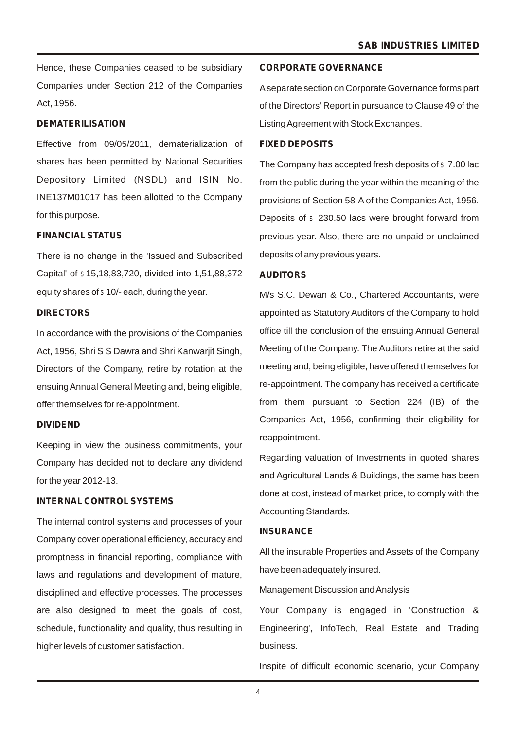Hence, these Companies ceased to be subsidiary **CORPORATE GOVERNANCE** Companies under Section 212 of the Companies Aseparate section on Corporate Governance forms part

Effective from 09/05/2011, dematerialization of **FIXED DEPOSITS** shares has been permitted by National Securities The Company has accepted fresh deposits of s 7.00 lac Depository Limited (NSDL) and ISIN No.

There is no change in the 'Issued and Subscribed deposits of any previous years. Capital' of s15,18,83,720, divided into 1,51,88,372 **AUDITORS**

Keeping in view the business commitments, your

### **INTERNAL CONTROLSYSTEMS**

The internal control systems and processes of your Company cover operational efficiency, accuracy and have been adequately insured. laws and regulations and development of mature, Management Discussion and Analysis disciplined and effective processes. The processes higher levels of customer satisfaction. business.

Act, 1956. **DEMATERILISATION** Listing Agreement with Stock Exchanges.

from the public during the year within the meaning of the INE137M01017 has been allotted to the Company provisions of Section 58-A of the Companies Act, 1956. for this purpose. Deposits of s 230.50 lacs were brought forward from **FINANCIAL STATUS** previous year. Also, there are no unpaid or unclaimed

equity shares of s10/- each, during the year.<br>M/s S.C. Dewan & Co., Chartered Accountants, were **DIRECTORS DIRECTORS appointed as Statutory Auditors of the Company to hold** In accordance with the provisions of the Companies office till the conclusion of the ensuing Annual General Act, 1956, Shri S S Dawra and Shri Kanwarjit Singh, Meeting of the Company. The Auditors retire at the said Directors of the Company, retire by rotation at the meeting and, being eligible, have offered themselves for ensuing Annual General Meeting and, being eligible, re-appointment. The company has received a certificate offer themselves for re-appointment. The offer them pursuant to Section 224 (IB) of the Companies Act, 1956, confirming their eligibility for **DIVIDEND** reappointment.

Regarding valuation of Investments in quoted shares Company has decided not to declare any dividend and Agricultural Lands & Buildings, the same has been for the year 2012-13. done at cost, instead of market price, to comply with the Accounting Standards.

### **INSURANCE**

All the insurable Properties and Assets of the Company promptness in financial reporting, compliance with

are also designed to meet the goals of cost, Your Company is engaged in 'Construction & schedule, functionality and quality, thus resulting in Engineering', InfoTech, Real Estate and Trading

Inspite of difficult economic scenario, your Company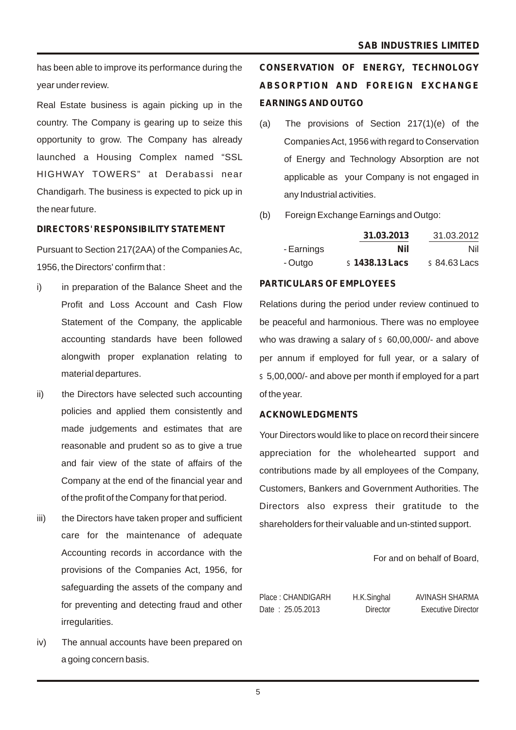Real Estate business is again picking up in the **EARNINGS AND OUTGO** country. The Company is gearing up to seize this (a) The provisions of Section 217(1)(e) of the Chandigarh. The business is expected to pick up in  $\frac{1}{2}$  any Industrial activities. the near future. (b) Foreign Exchange Earnings and Outgo:

### **DIRECTORS' RESPONSIBILITYSTATEMENT 31.03.2013** 31.03.2012

Pursuant to Section 217(2AA) of the Companies Ac, 1956, the Directors' confirm that :

- i) in preparation of the Balance Sheet and the **PARTICULARS OF EMPLOYEES**
- ii) the Directors have selected such accounting of the year. policies and applied them consistently and **ACKNOWLEDGMENTS** made judgements and estimates that are Your Directors would like to place on record their sincere reasonable and prudent so as to give a true and fair view of the state of affairs of the Company at the end of the financial year and of the profit of the Company for that period.
- care for the maintenance of adequate Accounting records in accordance with the For and on behalf of Board, provisions of the Companies Act, 1956, for safeguarding the assets of the company and for preventing and detecting fraud and other<br>Date : 25.05.2013 Director Executive Director irregularities.
- iv) The annual accounts have been prepared on a going concern basis.

has been able to improve its performance during the **CONSERVATION OF ENERGY, TECHNOLOGY** year under review. **ABSORPTION AND FOREIGN EXCHANGE**

- opportunity to grow. The Company has already Companies Act, 1956 with regard to Conservation launched a Housing Complex named "SSL of Energy and Technology Absorption are not HIGHWAY TOWERS" at Derabassi near applicable as your Company is not engaged in
	-

|            | 31.03.2013              | 31.03.2012     |
|------------|-------------------------|----------------|
| - Earnings | Nil                     | Nil            |
| - Outgo    | $\sqrt{5}$ 1438.13 Lacs | $S$ 84.63 Lacs |

Profit and Loss Account and Cash Flow Relations during the period under review continued to Statement of the Company, the applicable be peaceful and harmonious. There was no employee accounting standards have been followed who was drawing a salary of s 60,00,000/- and above alongwith proper explanation relating to per annum if employed for full year, or a salary of material departures. s 5,00,000/- and above per month if employed for a part

appreciation for the wholehearted support and contributions made by all employees of the Company, Customers, Bankers and Government Authorities. The Directors also express their gratitude to the iii) the Directors have taken proper and sufficient shareholders for their valuable and un-stinted support.

Place : CHANDIGARH H.K.Singhal AVINASH SHARMA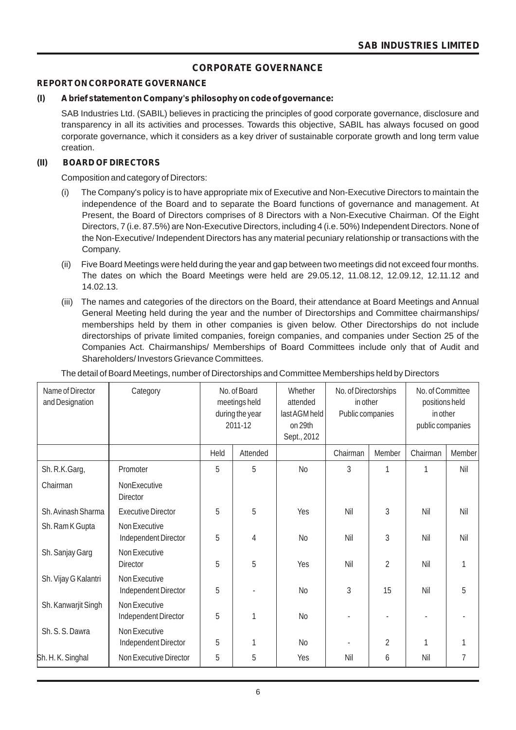### **CORPORATE GOVERNANCE**

### **REPORT ON CORPORATE GOVERNANCE**

### **(I) Abrief statement on Company's philosophy on code of governance:**

SAB Industries Ltd. (SABIL) believes in practicing the principles of good corporate governance, disclosure and transparency in all its activities and processes. Towards this objective, SABIL has always focused on good corporate governance, which it considers as a key driver of sustainable corporate growth and long term value creation.

### **(II) BOARD OF DIRECTORS**

Composition and category of Directors:

- (i) The Company's policy is to have appropriate mix of Executive and Non-Executive Directors to maintain the independence of the Board and to separate the Board functions of governance and management. At Present, the Board of Directors comprises of 8 Directors with a Non-Executive Chairman. Of the Eight Directors, 7 (i.e. 87.5%) are Non-Executive Directors, including 4 (i.e. 50%) Independent Directors. None of the Non-Executive/ Independent Directors has any material pecuniary relationship or transactions with the Company.
- (ii) Five Board Meetings were held during the year and gap between two meetings did not exceed four months. The dates on which the Board Meetings were held are 29.05.12, 11.08.12, 12.09.12, 12.11.12 and 14.02.13.
- (iii) The names and categories of the directors on the Board, their attendance at Board Meetings and Annual General Meeting held during the year and the number of Directorships and Committee chairmanships/ memberships held by them in other companies is given below. Other Directorships do not include directorships of private limited companies, foreign companies, and companies under Section 25 of the Companies Act. Chairmanships/ Memberships of Board Committees include only that of Audit and Shareholders/ Investors Grievance Committees.

| Name of Director<br>and Designation | Category                              | No. of Board<br>meetings held<br>during the year<br>2011-12 |          | Whether<br>attended<br>last AGM held I<br>on 29th<br>Sept., 2012 | No. of Directorships<br>in other<br>Public companies |                | No. of Committee<br>positions held<br>in other<br>public companies |        |
|-------------------------------------|---------------------------------------|-------------------------------------------------------------|----------|------------------------------------------------------------------|------------------------------------------------------|----------------|--------------------------------------------------------------------|--------|
|                                     |                                       | Held                                                        | Attended |                                                                  | Chairman                                             | Member         | Chairman                                                           | Member |
| Sh. R.K.Garg,                       | Promoter                              | 5                                                           | 5        | <b>No</b>                                                        | 3                                                    | 1              | 1                                                                  | Nil    |
| Chairman                            | NonExecutive<br><b>Director</b>       |                                                             |          |                                                                  |                                                      |                |                                                                    |        |
| Sh. Avinash Sharma                  | <b>Executive Director</b>             | 5                                                           | 5        | Yes                                                              | Nil                                                  | 3              | Nil                                                                | Nil    |
| Sh. Ram K Gupta                     | Non Executive<br>Independent Director | 5                                                           | 4        | N <sub>0</sub>                                                   | Nil                                                  | 3              | Nil                                                                | Nil    |
| Sh. Sanjay Garg                     | Non Executive<br><b>Director</b>      | 5                                                           | 5        | Yes                                                              | Nil                                                  | 2              | Nil                                                                | 1      |
| Sh. Vijay G Kalantri                | Non Executive<br>Independent Director | 5                                                           |          | <b>No</b>                                                        | 3                                                    | 15             | Nil                                                                | 5      |
| Sh. Kanwarjit Singh                 | Non Executive<br>Independent Director | 5                                                           | 1        | <b>No</b>                                                        |                                                      |                |                                                                    |        |
| Sh. S. S. Dawra                     | Non Executive<br>Independent Director | 5                                                           | 1        | <b>No</b>                                                        |                                                      | $\overline{2}$ | 1                                                                  |        |
| Sh. H. K. Singhal                   | Non Executive Director                | 5                                                           | 5        | Yes                                                              | Nil                                                  | 6              | Nil                                                                | 7      |

The detail of Board Meetings, number of Directorships and Committee Memberships held by Directors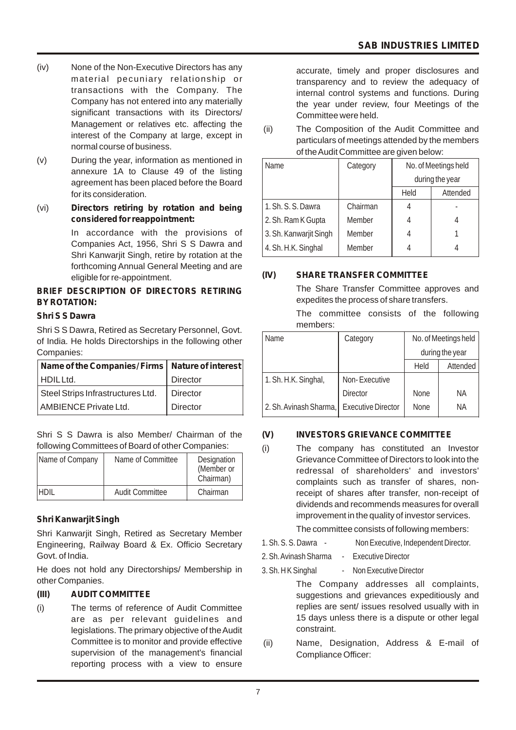- (iv) None of the Non-Executive Directors has any accurate, timely and proper disclosures and material pecuniary relationship or significant transactions with its Directors/<br>Management or relatives etc. affecting the  $\frac{m}{\sqrt{2}}$  The Committee were held.
- (v) During the year, information as mentioned in annexure 1A to Clause 49 of the listing agreement has been placed before the Board for its consideration.
- (vi) **Directors retiring by rotation and being** considered for reappointment:

In accordance with the provisions of Companies Act, 1956, Shri S S Dawra and Shri Kanwarjit Singh, retire by rotation at the forthcoming Annual General Meeting and are eligible for re-appointment. **(IV) SHARE TRANSFER COMMITTEE**

# **BY ROTATION:** expedites the process of share transfers.

Shri S S Dawra, Retired as Secretary Personnel, Govt. of India. He holds Directorships in the following other

| Name of the Companies/Firms   Nature of interest |                 |                                           |                 | Held        | Atteno |
|--------------------------------------------------|-----------------|-------------------------------------------|-----------------|-------------|--------|
| HDIL Ltd.                                        | <b>Director</b> | 1. Sh. H.K. Singhal,                      | Non-Executive   |             |        |
| Steel Strips Infrastructures Ltd.                | <b>Director</b> |                                           | <b>Director</b> | <b>None</b> | ΝA     |
| <b>AMBIENCE Private Ltd.</b>                     | <b>Director</b> | 2. Sh. Avinash Sharma, Executive Director |                 | <b>None</b> | ΝA     |

Shri S S Dawra is also Member/ Chairman of the **(V) INVESTORS GRIEVANCE COMMITTEE**

| Name of Company | Name of Committee      | Designation<br>(Member or<br>Chairman) |
|-----------------|------------------------|----------------------------------------|
| 'HDII           | <b>Audit Committee</b> | Chairman                               |

The committee consists of following members:<br>
Engineering, Railway Board & Ex. Officio Secretary 1.Sh.S.S.Dawra - Non Executive, Independent Director. Engineering, Railway Board & Ex. Officio Secretary Govt. of India. 2. Sh. Avinash Sharma - Executive Director

He does not hold any Directorships/ Membership in 3. Sh. HK Singhal - Non Executive Director<br>other Companies.<br>
The Company addresses all

(i) The terms of reference of Audit Committee **the sent issues resolved usually with in** (i) The terms of reference of Audit Committee **the sent of the sent of the sent of the sent** of the sent reference of the sent of the are as per relevant guidelines and the 15 days unless the per relevant guidelines and the 15 days unless the asset of the Audit legislations. The primary objective of the Audit supervision of the management's financial Compliance Officer: reporting process with a view to ensure

transparency and to review the adequacy of transactions with the Company. The internal control systems and functions. During<br>Company has not entered into any materially<br>the year under review four Meetings of the the vear under review, four Meetings of the

Interest of the Company at large, except in<br>
normal course of business.<br>
The Composition of the Audit Committee and<br>
particulars of meetings attended by the members<br>
of the Audit Committee are given below:

| Name                   | Category | No. of Meetings held |                 |
|------------------------|----------|----------------------|-----------------|
|                        |          |                      | during the year |
|                        |          | Held                 | Attended        |
| 1. Sh. S. S. Dawra     | Chairman |                      |                 |
| 2. Sh. Ram K Gupta     | Member   |                      |                 |
| 3. Sh. Kanwarjit Singh | Member   | 4                    |                 |
| 4. Sh. H.K. Singhal    | Member   |                      |                 |

**BRIEF DESCRIPTION OF DIRECTORS RETIRING The Share Transfer Committee approves and** 

**Shri S S Dawra** The committee consists of the following members:

| SHITS S DAWIA, REUIBU AS SECIBIAI V FEISOIIIIBI, GOVI.<br>of India. He holds Directorships in the following other<br>Companies: |                 | Name                                      | Category        |             | No. of Meetings held<br>during the year |
|---------------------------------------------------------------------------------------------------------------------------------|-----------------|-------------------------------------------|-----------------|-------------|-----------------------------------------|
| Name of the Companies/ Firms   Nature of interest                                                                               |                 |                                           |                 | Held        | Attended                                |
| HDIL Ltd.                                                                                                                       | Director        | 1. Sh. H.K. Singhal,                      | Non-Executive   |             |                                         |
| Steel Strips Infrastructures Ltd.                                                                                               | <b>Director</b> |                                           | <b>Director</b> | <b>None</b> | <b>NA</b>                               |
| AMBIENCE Private Ltd.                                                                                                           | <b>Director</b> | 2. Sh. Avinash Sharma, Executive Director |                 | <b>None</b> | <b>NA</b>                               |

following Committees of Board of other Companies: (i) The company has constituted an Investor Grievance Committee of Directors to look into the redressal of shareholders' and investors' complaints such as transfer of shares, nonreceipt of shares after transfer, non-receipt of dividends and recommends measures for overall **Shri Kanwarjit Singh**<br> **Shri Kanwarjit Singh**<br> **Shri Kanwarjit Singh Defined as Secretary Mamber**<br> **Shri Kanwarjit Singh Defined as Secretary Mamber**<br> **Shri Kanwarjit Singh Defined as Secretary Mamber** 

- 
- 
- 

mpanies.<br> **AUDIT COMMITTEE** AUDIT COMMITTEE AUDIT COMMITTEE AUDIT COMMITTEE **(III) AUDIT COMMITTEE** suggestions and grievances expeditiously and

Committee is to monitor and provide effective (ii) Name, Designation, Address & E-mail of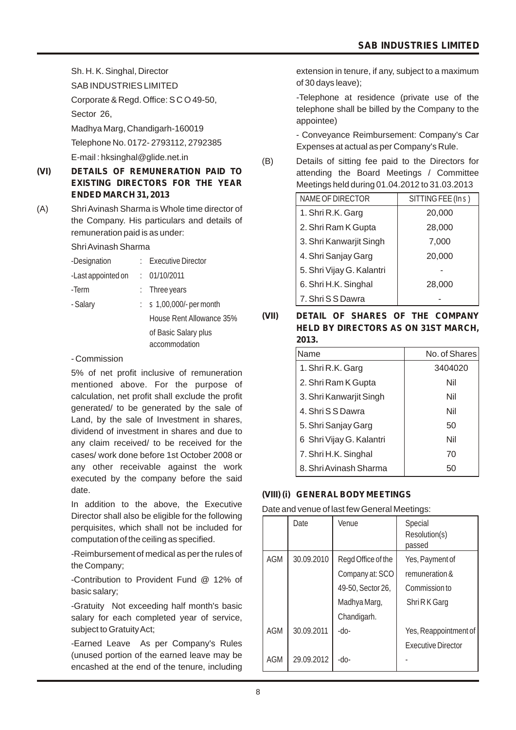SAB INDUSTRIES LIMITED of 30 days leave);

Madhya Marg, Chandigarh-160019 Telephone No. 0172- 2793112, 2792385<br>Expenses at actual as per Company's Rule.<br>E-mail : hksinghal@glide.net.in

- **(VI) DETAILS OF REMUNERATION PAID TO** attending the Board Meetings / Committee **EXISTING DIRECTORS FOR THE YEAR** Meetings held during 01.04.2012 to 31.03.2013 **ENDED MARCH 31, 2013**
- (A) Shri Avinash Sharma is Whole time director of the Company. His particulars and details of remuneration paid is as under:

|                          |                                                                                          | 4. Sr<br>5. Sr<br>6. Sr<br>7. Sr |
|--------------------------|------------------------------------------------------------------------------------------|----------------------------------|
|                          |                                                                                          |                                  |
| House Rent Allowance 35% | (VII)                                                                                    | <b>DETA</b>                      |
| of Basic Salary plus     |                                                                                          | <b>HELD</b>                      |
| accommodation            |                                                                                          | 2013.<br>$N \sim 1$              |
|                          | : Executive Director<br>: 01/10/2011<br>: Three years<br>$:$ $\leq$ 1,00,000/- per month |                                  |

- Commission

5% of net profit inclusive of remuneration mentioned above. For the purpose of calculation, net profit shall exclude the profit generated/ to be generated by the sale of Land, by the sale of Investment in shares, dividend of investment in shares and due to any claim received/ to be received for the cases/ work done before 1st October 2008 or any other receivable against the work executed by the company before the said date. **(VIII) (i) GENERAL BODY MEETINGS**

In addition to the above, the Executive Date and venue of last few General Meetings: Director shall also be eligible for the following perquisites, which shall not be included for computation of the ceiling as specified.

-Earned Leave As per Company's Rules (unused portion of the earned leave may be encashed at the end of the tenure, including

Sh. H. K. Singhal, Director extension in tenure, if any, subject to a maximum

Corporate & Regd. Office: S C O 49-50, Telephone at residence (private use of the telephone shall be billed by the Company to the Sector 26, appointee)

- Conveyance Reimbursement: Company's Car

E-mail : hksinghal@glide.net.in (B) Details of sitting fee paid to the Directors for<br>DETAILS OF REMUNERATION PAID TO attending the Board Meetings / Committee

|                                                                                                                                                                                               | ENDED MARCH 31, 2013              | NAME OF DIRECTOR          | SITTING FEE (In s) |
|-----------------------------------------------------------------------------------------------------------------------------------------------------------------------------------------------|-----------------------------------|---------------------------|--------------------|
|                                                                                                                                                                                               |                                   | 1. Shri R.K. Garg         | 20,000             |
| Shri Avinash Sharma is Whole time director of<br>the Company. His particulars and details of<br>remuneration paid is as under:<br>Shri Avinash Sharma<br>-Designation<br>: Executive Director | 2. Shri Ram K Gupta               | 28,000                    |                    |
|                                                                                                                                                                                               |                                   | 3. Shri Kanwarjit Singh   | 7,000              |
|                                                                                                                                                                                               |                                   | 4. Shri Sanjay Garg       | 20,000             |
| -Last appointed on                                                                                                                                                                            | : 01/10/2011                      | 5. Shri Vijay G. Kalantri |                    |
| -Term                                                                                                                                                                                         | $:$ Three years                   | 6. Shri H.K. Singhal      | 28,000             |
| - Salary                                                                                                                                                                                      | $\cdot$ $\leq 1.00.000$ ner month | 7. Shri S S Dawra         | ۰                  |

 $H_3\%$  (VII) **DETAIL OF SHARES OF THE COMPANY HELD BY DIRECTORS AS ON 31ST MARCH, 2013** 

| Name                     | No. of Shares |
|--------------------------|---------------|
| 1. Shri R.K. Garg        | 3404020       |
| 2. Shri Ram K Gupta      | Nil           |
| 3. Shri Kanwarjit Singh  | Nil           |
| 4. Shri S S Dawra        | Nil           |
| 5. Shri Sanjay Garg      | 50            |
| 6 Shri Vijay G. Kalantri | Nil           |
| 7. Shri H.K. Singhal     | 70            |
| 8. Shri Avinash Sharma   | 50            |

| Director shall also be eligible for the following<br>perquisites, which shall not be included for<br>computation of the ceiling as specified. |     | Date       | Venue              | Special<br>Resolution(s)<br>passed |
|-----------------------------------------------------------------------------------------------------------------------------------------------|-----|------------|--------------------|------------------------------------|
| -Reimbursement of medical as per the rules of<br>the Company;                                                                                 | AGM | 30.09.2010 | Regd Office of the | Yes, Payment of                    |
| -Contribution to Provident Fund @ 12% of                                                                                                      |     |            | Company at: SCO    | remuneration &                     |
| basic salary;                                                                                                                                 |     |            | 49-50, Sector 26,  | Commission to                      |
| -Gratuity Not exceeding half month's basic                                                                                                    |     |            | Madhya Marg,       | Shri R K Garg                      |
| salary for each completed year of service,                                                                                                    |     |            | Chandigarh.        |                                    |
| subject to Gratuity Act;                                                                                                                      | AGM | 30.09.2011 | -do-               | Yes, Reappointment of              |
| -Earned Leave As per Company's Rules                                                                                                          |     |            |                    | <b>Executive Director</b>          |
| (unused portion of the earned leave may be<br>encashed at the end of the tenure, including                                                    | AGM | 29.09.2012 | $-do-$             |                                    |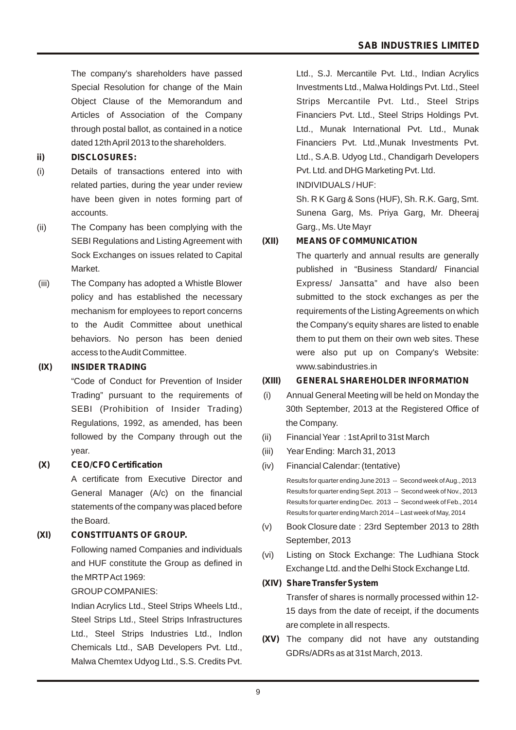- (i) Details of transactions entered into with Pvt. Ltd. and DHG Marketing Pvt. Ltd. related parties, during the year under review **INDIVIDUALS/HUF:**
- (ii) The Company has been complying with the Garg., Ms. Ute Mayr SEBI Regulations and Listing Agreement with **(XII) MEANS OF COMMUNICATION**
- (iii) The Company has adopted a Whistle Blower Express/ Jansatta" and have also been

### **(IX) INSIDER TRADING** www.sabindustries.in

Regulations, 1992, as amended, has been the Company. followed by the Company through out the (ii) Financial Year : 1st April to 31st March year. (iii) Year Ending: March 31, 2013

statements of the company was placed before

# **(XI) CONSTITUANTS OF GROUP.**<br>Following named Companies and individuals Following named Companies and individuals

and HUF constitute the Group as defined in Exchange Ltd. and the Delhi Stock Exchange Ltd.<br>the MRTP Act 1969:

Steel Strips Ltd., Steel Strips Infrastructures Ltd., Steel Strips Industries Ltd., Indlon **(XV)** The company did not have any outstanding Chemicals Ltd., SAB Developers Pvt. Ltd., GDRs/ADRs as at 31st March, 2013. Malwa Chemtex Udyog Ltd., S.S. Credits Pvt.

The company's shareholders have passed Ltd., S.J. Mercantile Pvt. Ltd., Indian Acrylics Special Resolution for change of the Main Investments Ltd., Malwa Holdings Pvt. Ltd., Steel Object Clause of the Memorandum and Strips Mercantile Pvt. Ltd., Steel Strips Articles of Association of the Company Financiers Pvt. Ltd., Steel Strips Holdings Pvt. through postal ballot, as contained in a notice Ltd., Munak International Pvt. Ltd., Munak dated 12th April 2013 to the shareholders. Financiers Pvt. Ltd., Munak Investments Pvt. **ii) DISCLOSURES:** Ltd., S.A.B. Udyog Ltd., Chandigarh Developers

have been given in notes forming part of Sh. R K Garg & Sons (HUF), Sh. R.K. Garg, Smt. accounts. Sunena Garg, Ms. Priya Garg, Mr. Dheeraj

Sock Exchanges on issues related to Capital The quarterly and annual results are generally Market. published in "Business Standard/ Financial policy and has established the necessary submitted to the stock exchanges as per the mechanism for employees to report concerns requirements of the Listing Agreements on which to the Audit Committee about unethical the Company's equity shares are listed to enable behaviors. No person has been denied them to put them on their own web sites. These access to the Audit Committee. were also put up on Company's Website:

### "Code of Conduct for Prevention of Insider **(XIII) GENERALSHAREHOLDER INFORMATION**

- Trading" pursuant to the requirements of (i) Annual General Meeting will be held on Monday the SEBI (Prohibition of Insider Trading) 30th September, 2013 at the Registered Office of
	-
	-
- **(X) CEO/CFO Certification** (iv) Financial Calendar: (tentative)

A certificate from Executive Director and Results for quarter ending June 2013 -- Second week of Aug., 2013 General Manager (A/c) on the financial Results for quarter ending Sept. 2013 -- Second week of Nov., 2013<br>Results for quarter ending Dec. 2013 -- Second week of Feb., 2014 Results for quarter ending March 2014 -- Last week of May, 2014

- the Board. (v) Book Closure date : 23rd September 2013 to 28th
- Following named Companies and individuals (vi) Listing on Stock Exchange: The Ludhiana Stock and HUF constitute the Group as defined in

## the MRTPAct 1969: **(XIV) Share Transfer System**

GROUP COMPANIES:<br>
Indian Acrylics Ltd., Steel Strips Wheels Ltd., Transfer of shares is normally processed within 12-15 days from the date of receipt, if the documents are complete in all respects.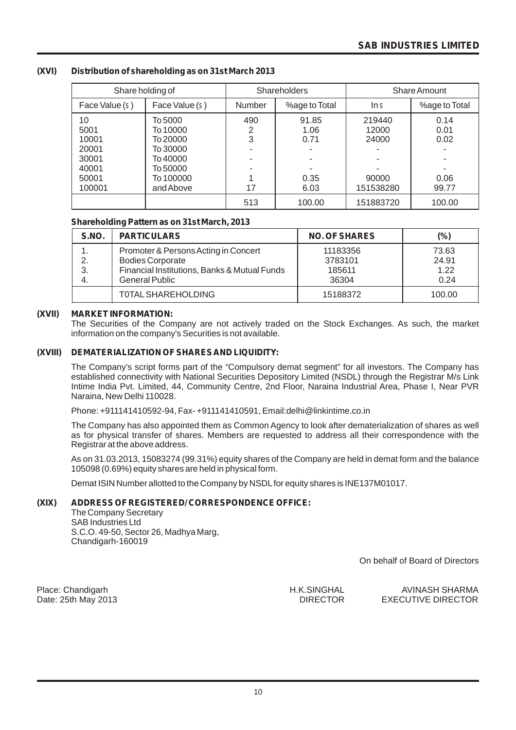### **(XVI) Distribution of shareholding as on 31st March 2013**

|                | Share holding of | <b>Shareholders</b>     |        | Share Amount |               |
|----------------|------------------|-------------------------|--------|--------------|---------------|
| Face Value (s) | Face Value (s)   | Number<br>%age to Total |        | ln s         | %age to Total |
| 10             | To 5000          | 490                     | 91.85  | 219440       | 0.14          |
| 5001           | To 10000         | 2                       | 1.06   | 12000        | 0.01          |
| 10001          | To 20000         | 3                       | 0.71   | 24000        | 0.02          |
| 20001          | To 30000         |                         |        |              |               |
| 30001          | To 40000         |                         |        |              | ۰             |
| 40001          | To 50000         |                         |        |              |               |
| 50001          | To 100000        |                         | 0.35   | 90000        | 0.06          |
| 100001         | and Above        | 17                      | 6.03   | 151538280    | 99.77         |
|                |                  | 513                     | 100.00 | 151883720    | 100.00        |

### **Shareholding Pattern as on 31st March, 2013**

| S.NO. | <b>PARTICULARS</b>                           | <b>NO. OF SHARES</b> | (%)    |
|-------|----------------------------------------------|----------------------|--------|
|       | Promoter & Persons Acting in Concert         | 11183356             | 73.63  |
| 2.    | <b>Bodies Corporate</b>                      | 3783101              | 24.91  |
| 3.    | Financial Institutions, Banks & Mutual Funds | 185611               | 1.22   |
| 4.    | <b>General Public</b>                        | 36304                | 0.24   |
|       | <b>TOTAL SHAREHOLDING</b>                    | 15188372             | 100.00 |

### **(XVII) MARKET INFORMATION:**

The Securities of the Company are not actively traded on the Stock Exchanges. As such, the market information on the company's Securities is not available.

### **(XVIII) DEMATERIALIZATION OF SHARES AND LIQUIDITY:**

The Company's script forms part of the "Compulsory demat segment" for all investors. The Company has established connectivity with National Securities Depository Limited (NSDL) through the Registrar M/s Link Intime India Pvt. Limited, 44, Community Centre, 2nd Floor, Naraina Industrial Area, Phase I, Near PVR Naraina, New Delhi 110028.

Phone: +911141410592-94, Fax- +911141410591, Email:delhi@linkintime.co.in

The Company has also appointed them as Common Agency to look after dematerialization of shares as well as for physical transfer of shares. Members are requested to address all their correspondence with the Registrar at the above address.

As on 31.03.2013, 15083274 (99.31%) equity shares of the Company are held in demat form and the balance 105098 (0.69%) equity shares are held in physical form.

Demat ISIN Number allotted to the Company by NSDLfor equity shares is INE137M01017.

### **(XIX) ADDRESS OF REGISTERED/ CORRESPONDENCE OFFICE:**

The Company Secretary SAB Industries Ltd S.C.O. 49-50, Sector 26, Madhya Marg, Chandigarh-160019

On behalf of Board of Directors

Place: Chandigarh **Place: Chandigarh** H.K.SINGHAL AVINASH SHARMA<br>DIRECTOR EXECUTIVE DIRECTOR **EXECUTIVE DIRECTOR**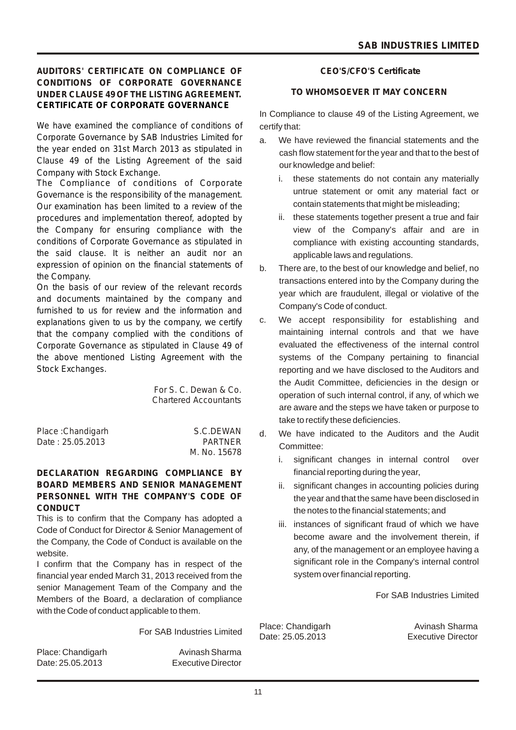**AUDITORS' CERTIFICATE ON COMPLIANCE OF CONDITIONS OF CORPORATE GOVERNANCE UNDER CLAUSE 49 OF THE LISTING AGREEMENT. CERTIFICATE OF CORPORATE GOVERNANCE**

We have examined the compliance of conditions of Corporate Governance by SAB Industries Limited for the year ended on 31st March 2013 as stipulated in Clause 49 of the Listing Agreement of the said Company with Stock Exchange.

The Compliance of conditions of Corporate Governance is the responsibility of the management. Our examination has been limited to a review of the procedures and implementation thereof, adopted by the Company for ensuring compliance with the conditions of Corporate Governance as stipulated in the said clause. It is neither an audit nor an expression of opinion on the financial statements of the Company.

On the basis of our review of the relevant records and documents maintained by the company and furnished to us for review and the information and explanations given to us by the company, we certify that the company complied with the conditions of Corporate Governance as stipulated in Clause 49 of the above mentioned Listing Agreement with the Stock Exchanges.

> For S. C. Dewan & Co. Chartered Accountants

Place :Chandigarh S.C.DEWAN<br>
Date : 25.05.2013<br>
PARTNER  $Date: 25.05.2013$ 

M. No. 15678

## **DECLARATION REGARDING COMPLIANCE BY** financial reporting during the year, **BOARD MEMBERS AND SENIOR MANAGEMENT** ii. significant changes in accounting policies during<br>**PERSONNEL WITH THE COMPANY'S CODE OF** the vear and that the same have been disclosed in **PERSONNEL WITH THE COMPANY'S CODE OF** the year and that the same have been disclosed in<br> **CONDUCT** the patents the financial statements: and

**CONDUCT**<br>This is to confirm that the Company has adopted a<br>This is to confirm that the Company has adopted a This is to commit that the Company has adopted a<br>Code of Conduct for Director & Senior Management of<br>the Conduct for Director & Senior Management of<br>the Conduct for Director & Senior Management of the Company, the Code of Conduct is available on the

I confirm that the Company has in respect of the financial year ended March 31, 2013 received from the system over financial reporting. senior Management Team of the Company and the For SAB Industries Limited Members of the Board, a declaration of compliance with the Code of conduct applicable to them.

Place: Chandigarh Avinash Sharma  $Date: 25.05.2013$ 

### **CEO'S/CFO'S Certificate**

### **TO WHOMSOEVER IT MAY CONCERN**

In Compliance to clause 49 of the Listing Agreement, we certify that:

- a. We have reviewed the financial statements and the cash flow statement for the year and that to the best of our knowledge and belief:
	- i. these statements do not contain any materially untrue statement or omit any material fact or contain statements that might be misleading;
	- ii. these statements together present a true and fair view of the Company's affair and are in compliance with existing accounting standards, applicable laws and regulations.
- b. There are, to the best of our knowledge and belief, no transactions entered into by the Company during the year which are fraudulent, illegal or violative of the Company's Code of conduct.
- c. We accept responsibility for establishing and maintaining internal controls and that we have evaluated the effectiveness of the internal control systems of the Company pertaining to financial reporting and we have disclosed to the Auditors and the Audit Committee, deficiencies in the design or operation of such internal control, if any, of which we are aware and the steps we have taken or purpose to take to rectify these deficiencies.
- d. We have indicated to the Auditors and the Audit Committee:
	- i. significant changes in internal control over
	-
- any, of the management or an employee having a<br>website.<br>I confirm that the Company has in respect of the significant role in the Company's internal control

Place: Chandigarh Avinash Sharma For SAB Industries Limited Date: 25.05.2013 Executive Director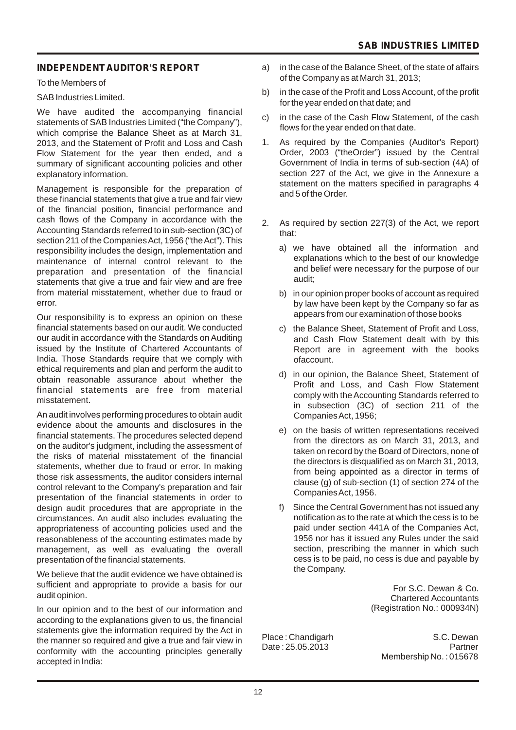We have audited the accompanying financial ordinate the cash statements of SAB Industries Limited ("the Company"),<br>which comprise the Balance Sheet as at March 31,<br>2013. and the Statement of Profit and Loss and Cash 1. As required by the Companies (Auditor's Report summary of significant accounting policies and other

Management is responsible for the preparation of and 5 of the Order. these financial statements that give a true and fair view of the financial position, financial performance and cash flows of the Company in accordance with the 2. As required by section 227(3) of the Act, we report Accounting Standards referred to in sub-section  $(3C)$  of that: section 211 of the Companies Act, 1956 ("the Act"). This responsibility includes the design, implementation and<br>maintenance of internal control relevant to the explanations which to the best of our knowledge maintenance of internal control relevant to the explanations which to the best of our knowledge<br>negation and presentation of the financial and belief were necessary for the purpose of our preparation and presentation of the financial and b<br>attempts that give a true and fair view and are free audit: statements that give a true and fair view and are free from material misstatement, whether due to fraud or b) in our opinion proper books of account as required<br>entity the Company so far as

Our responsibility is to express an opinion on these appears from our examination of those books financial statements based on our audit. We conducted c) the Balance Sheet, Statement of Profit and Loss,<br>our audit in accordance with the Standards on Auditing and Cash Flow Statement dealt with by this our audit in accordance with the Standards on Auditing issued by the Institute of Chartered Accountants of India. Those Standards require that we comply with of of of original requirements and plan and perform the audit to Funcal requirements and plan and penomic the additional contains and plan and penomic the dividence of the statement of obtain reasonable assurance about whether the financial statements are free from material comply with

An audit involves performing procedures to obtain audit evidence about the amounts and disclosures in the e) on the basis of written representations received<br>financial statements. The procedures selected depend<br>on the directors as on March 31, 2013, and<br>the procedures in the directors as on March 31, 2013, and on the auditor's judgment, including the assessment of<br>the risks of material misstatement of the financial<br>statements, whether due to fraud or error. In making<br>those risk assessments, the auditor considers internal<br>control design audit procedures that are appropriate in the f) Since the Central Government has not issued any<br>circumstances. An audit also includes evaluating the notification as to the rate at which the cess is to be circumstances. An audit also includes evaluating the notification as to the rate at which the cess is to be<br>appropriateness of accounting policies used and the notion and under section 441A of the Companies Act. appropriateness of accounting policies used and the paid under section 441A of the Companies Act,<br>reasonableness of the accounting estimates made by the paid of the said reasonableness of the accounting estimates made by 1956 nor has it issued any Rules under the said<br>management. as well as evaluating the overall section, prescribing the manner in which such management, as well as evaluating the overall presentation of the financial statements.

the Company.<br>We believe that the audit evidence we have obtained is the Company. sufficient and appropriate to provide a basis for our For S.C. Dewan & Co.<br>audit opinion.

In our opinion and to the best of our information and **Internation 1996** (Registration No.: 000934N) according to the explanations given to us, the financial statements give the information required by the Act in Place : Chandigarh S.C. Dewan the manner so required and give a true and fair view in conformity with the accounting principles generally accepted in India: Partner conformity with the accounting principles generally accep

- **INDEPENDENT AUDITOR'S REPORT** a) in the case of the Balance Sheet, of the state of affairs To the Members of the Company as at March 31, 2013;<br>
b) in the case of the Profit and Loss Acco
- b) in the case of the Profit and Loss Account, of the profit SAB Industries Limited.<br>for the year ended on that date; and
	-
- 2013, and the Statement of Profit and Loss and Cash 1. As required by the Companies (Auditor's Report)<br>Flow Statement for the year then ended, and a Corder, 2003 ("theOrder") issued by the Central Flow Statement for the year then ended, and a Cricler, 2003 ("theOrder") issued by the Central<br>
Flow Statement of significant accounting policies and other Government of India in terms of sub-section (4A) of explanatory information.<br>
Monography is representing the acceptation of statement on the matters specified in paragraphs 4
	- -
		- by law have been kept by the Company so far as
		- Report are in agreement with the books
- misstatement.<br>
an audit involves performing procedures to obtain audit in subsection (3C) of section 211 of the<br>
Companies Act. 1956:
	-
	- cess is to be paid, no cess is due and payable by

**Chartered Accountants** 

Membership No.: 015678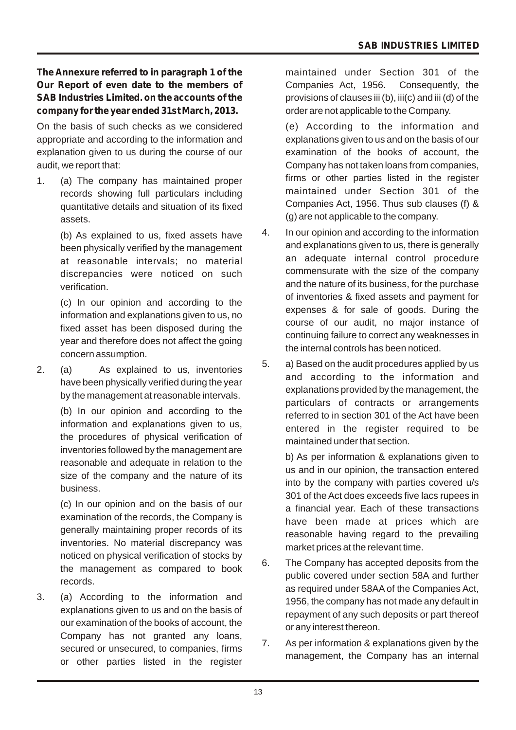**The Annexure referred to in paragraph 1 of the** maintained under Section 301 of the **Our Report of even date to the members of Companies Act, 1956. Consequently, the SAB Industries Limited. on the accounts of the** *provisions of clauses iii (b), iii(c) and iii (d) of the* **company for the year ended 31st March, 2013.** order are not applicable to the Company.

On the basis of such checks as we considered (e) According to the information and appropriate and according to the information and explanations given to us and on the basis of our explanation given to us during the course of our examination of the books of account, the audit, we report that: Company has not taken loans from companies,

quantitative details and situation of its fixed (g) are not applicable to the company. assets.

discrepancies were noticed on such

information and explanations given to us, no year and therefore does not affect the going concern assumption.

have been physically verified during the year

the procedures of physical verification of maintained under that section. inventories followed by the management are size of the company and the nature of its

inventories. No material discrepancy was market prices at the relevant time. noticed on physical verification of stocks by

3. (a) According to the information and our examination of the books of account, the or any interest thereon. Company has not granted any loans, or other parties listed in the register

1. (a) The company has maintained proper firms or other parties listed in the register<br>records showing full particulars including maintained under Section 301 of the records showing full particulars including maintained under Section 301 of the records showing full particulars including maintained under Section 301 of the records

- (b) As explained to us, fixed assets have  $\frac{4}{4}$  In our opinion and according to the information began physically verified by the management and explanations given to us, there is generally been physically verified by the management<br>at reasonable, intervals: no material an adequate internal control procedure at reasonable intervals; no material an adequate internal control procedure<br>discrepancies were noticed on such commensurate with the size of the company verification.<br>
and the nature of its business, for the purchase<br>
of inventories & fixed assets and payment for of inventories & fixed assets and payment for (c) In our opinion and according to the course of our audit, no major instance of fixed asset has been disposed during the continuing failure to correct any weaknesses in the internal controls has been noticed.
- 5. a) Based on the audit procedures applied by us 2. (a) As explained to us, inventories and according to the information and explanations provided by the management, the by the management, the by the management, the hyperasonable intervals. particulars of contracts or arrangements (b) In our opinion and according to the referred to in section 301 of the Act have been information and explanations given to us, entered in the register required to be

 $b)$  As per information & explanations given to reasonable and adequate in relation to the us and in our opinion, the transaction entered bize of the company and the hatare of the company with parties covered u/s business. 301 of the Act does exceeds five lacs rupees in (c) In our opinion and on the basis of our a financial year. Each of these transactions examination of the records, the Company is examination of the records, the Company is have been made at prices which are denerally maintaining proper records of its reasonable having regard to the prevailing

- fraction projects compared to book the Company has accepted deposits from the management as compared to book me management as compared to book<br>public covered under section 58A and further records. as required under 58AA of the Companies Act, 1956, the company has not made any default in explanations given to us and on the basis of repayment of any such deposits or part thereof
- secured or unsecured, to companies, firms 7. As per information & explanations given by the management, the Company has an internal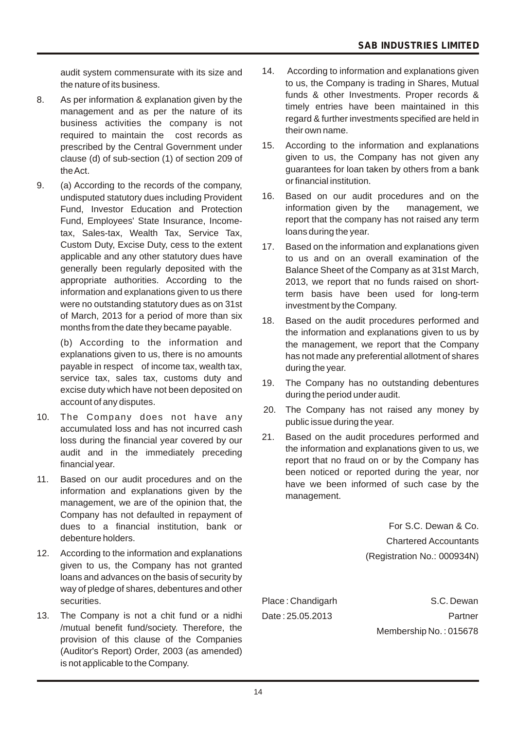- business activities the company is not  $\frac{1}{2}$  held  $\alpha$  further company is not required to maintain the cost records as clause (d) of sub-section (1) of section 209 of
- or financial institution.<br>
undisputed statutory dues including Provident 16. Based on our audit procedures and on the undisputed statutory dues including Provident 16. tax, Sales-tax, Wealth Tax, Service Tax, Sales-tax, I loans during the year. were no outstanding statutory dues as on 31st investment by the Company. of March, 2013 for a period of more than six 18. Based on the audit procedures performed and months from the date they became payable.

payable in respect of income tax, wealth tax, during the year.<br>service tax, sales tax, customs duty and excise duty which have not been deposited on during the period under audit. account of any disputes.

- 10. The Company does not have any accumulated loss and has not incurred cash audit and in the immediately preceding
- information and explanations given by the management. management, we are of the opinion that, the Company has not defaulted in repayment of dues to a financial institution, bank or example and the For S.C. Dewan & Co. debenture holders. The contract of the contract of the contract of the contract of the contract of the contract of the contract of the contract of the contract of the contract of the contract of the contract of the contrac
- 12. According to the information and explanations (Registration No.: 000934N) given to us, the Company has not granted loans and advances on the basis of security by way of pledge of shares, debentures and other securities. S.C. Dewan Place : Chandigarh S.C. Dewan
- 13. The Company is not a chit fund or a nidhi Date : 25.05.2013 Partner /mutual benefit fund/society. Therefore, the provision of this clause of the Companies (Auditor's Report) Order, 2003 (as amended) is not applicable to the Company.
- audit system commensurate with its size and 14. According to information and explanations given to us, the Company is trading in Shares, Mutual<br>funds & other Investments. Proper records & 8. As per information  $\&$  explanation given by the  $\frac{1}{2}$  lunds  $\&$  other investments. Proper records  $\&$  timely entries have been maintained in this management and as per the nature of its<br>have been maintained in this matchman management and as per the nature of its<br>regard & further investments specified are held in
	- prescribed by the Central Government under 15. According to the information and explanations<br>clause (d) of sub-section (1) of section 209 of given to us, the Company has not given any the Act.<br>
	guarantees for loan taken by others from a bank<br>
	or financial institution.
	- Fund, Investor Education and Protection **information given by the management**, we Fund, Employees' State Insurance, Income-<br>
	Fund, Employees' State Insurance, Income-<br>
	Income-
	- Custom Duty, Excise Duty, cess to the extent 17. Based on the information and explanations given<br>applicable and any other statutory dues have to us and on an overall examination of the to us and on an overall examination of the generally been regularly deposited with the Balance Sheet of the Company as at 31st March,<br>appropriate authorities. According to the 2013 we report that no funds raised on short-2013, we report that no funds raised on shortinformation and explanations given to us there therm basis have been used for long-term
	- the information and explanations given to us by (b) According to the information and the management, we report that the Company explanations given to us, there is no amounts has not made any preferential allotment of shares
		- 19. The Company has no outstanding debentures
		- 20. The Company has not raised any money by public issue during the year.
- Ioss during the financial year covered by our 21. Based on the audit procedures performed and loss during the immediately preceding the information and explanations given to us, we report that no fraud on or by the Company has financial year. been noticed or reported during the year, nor 11. Based on our audit procedures and on the have we been informed of such case by the

Membership No. : 015678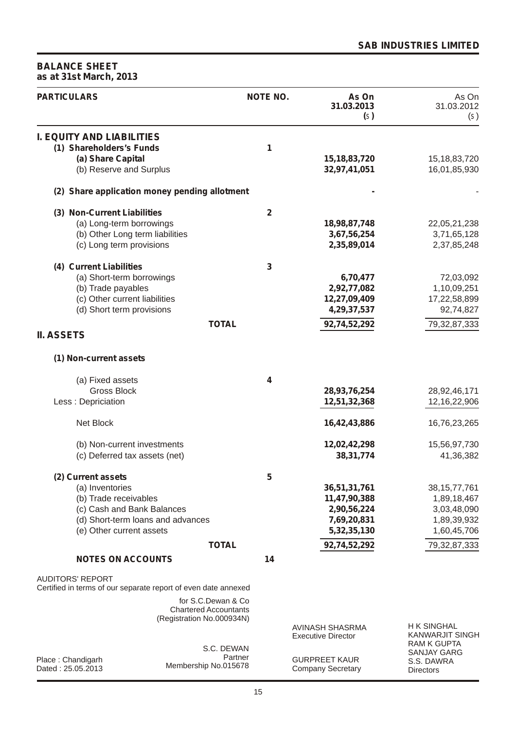### **BALANCE SHEET as at 31st March, 2013**

| <b>PARTICULARS</b>                                                                        | <b>NOTE NO.</b> | As On<br>31.03.2013<br>(s)                       | As On<br>31.03.2012<br>(s)                           |
|-------------------------------------------------------------------------------------------|-----------------|--------------------------------------------------|------------------------------------------------------|
| <b>I. EQUITY AND LIABILITIES</b>                                                          |                 |                                                  |                                                      |
| (1) Shareholders's Funds                                                                  | 1               |                                                  |                                                      |
| (a) Share Capital                                                                         |                 | 15, 18, 83, 720                                  | 15, 18, 83, 720                                      |
| (b) Reserve and Surplus                                                                   |                 | 32,97,41,051                                     | 16,01,85,930                                         |
| (2) Share application money pending allotment                                             |                 |                                                  |                                                      |
| (3) Non-Current Liabilities                                                               | $\overline{2}$  |                                                  |                                                      |
| (a) Long-term borrowings                                                                  |                 | 18,98,87,748                                     | 22,05,21,238                                         |
| (b) Other Long term liabilities                                                           |                 | 3,67,56,254                                      | 3,71,65,128                                          |
| (c) Long term provisions                                                                  |                 | 2,35,89,014                                      | 2,37,85,248                                          |
| (4) Current Liabilities                                                                   | 3               |                                                  |                                                      |
| (a) Short-term borrowings                                                                 |                 | 6,70,477                                         | 72,03,092                                            |
| (b) Trade payables                                                                        |                 | 2,92,77,082                                      | 1,10,09,251                                          |
| (c) Other current liabilities                                                             |                 | 12,27,09,409                                     | 17,22,58,899                                         |
| (d) Short term provisions                                                                 |                 | 4,29,37,537                                      | 92,74,827                                            |
| <b>TOTAL</b><br><b>II. ASSETS</b>                                                         |                 | 92,74,52,292                                     | 79, 32, 87, 333                                      |
| (1) Non-current assets                                                                    |                 |                                                  |                                                      |
|                                                                                           |                 |                                                  |                                                      |
| (a) Fixed assets                                                                          | 4               |                                                  |                                                      |
| <b>Gross Block</b>                                                                        |                 | 28,93,76,254                                     | 28,92,46,171                                         |
| Less : Depriciation                                                                       |                 | 12,51,32,368                                     | 12, 16, 22, 906                                      |
| Net Block                                                                                 |                 | 16,42,43,886                                     | 16,76,23,265                                         |
| (b) Non-current investments                                                               |                 | 12,02,42,298                                     | 15,56,97,730                                         |
| (c) Deferred tax assets (net)                                                             |                 | 38, 31, 774                                      | 41,36,382                                            |
| (2) Current assets                                                                        | 5               |                                                  |                                                      |
| (a) Inventories                                                                           |                 | 36,51,31,761                                     | 38, 15, 77, 761                                      |
| (b) Trade receivables                                                                     |                 | 11,47,90,388                                     | 1,89,18,467                                          |
| (c) Cash and Bank Balances                                                                |                 | 2,90,56,224                                      | 3,03,48,090                                          |
| (d) Short-term loans and advances                                                         |                 | 7,69,20,831                                      | 1,89,39,932                                          |
| (e) Other current assets                                                                  |                 | 5,32,35,130                                      | 1,60,45,706                                          |
| <b>TOTAL</b>                                                                              |                 | 92,74,52,292                                     | 79, 32, 87, 333                                      |
| <b>NOTES ON ACCOUNTS</b>                                                                  | 14              |                                                  |                                                      |
| <b>AUDITORS' REPORT</b><br>Certified in terms of our separate report of even date annexed |                 |                                                  |                                                      |
| for S.C.Dewan & Co.<br><b>Chartered Accountants</b><br>(Registration No.000934N)          |                 |                                                  |                                                      |
|                                                                                           |                 | AVINASH SHASRMA<br><b>Executive Director</b>     | <b>H K SINGHAL</b><br><b>KANWARJIT SINGH</b>         |
| S.C. DEWAN                                                                                |                 |                                                  | RAM K GUPTA                                          |
| Place: Chandigarh<br>Membership No.015678<br>Dated: 25.05.2013                            | Partner         | <b>GURPREET KAUR</b><br><b>Company Secretary</b> | <b>SANJAY GARG</b><br>S.S. DAWRA<br><b>Directors</b> |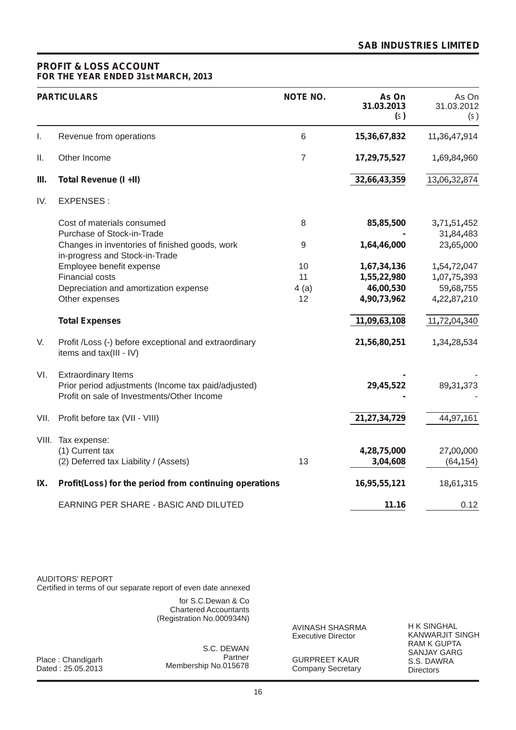### **PROFIT & LOSS ACCOUNT FOR THE YEAR ENDED 31st MARCH, 2013**

|       | <b>PARTICULARS</b>                                                                                | <b>NOTE NO.</b> | As On<br>31.03.2013<br>(s) | As On<br>31.03.2012<br>(s) |
|-------|---------------------------------------------------------------------------------------------------|-----------------|----------------------------|----------------------------|
| I.    | Revenue from operations                                                                           | 6               | 15,36,67,832               | 11,36,47,914               |
| Ш.    | Other Income                                                                                      | $\overline{7}$  | 17,29,75,527               | 1,69,84,960                |
| Ш.    | Total Revenue (I +II)                                                                             |                 | 32,66,43,359               | 13,06,32,874               |
| IV.   | <b>EXPENSES:</b>                                                                                  |                 |                            |                            |
|       | Cost of materials consumed                                                                        | 8               | 85,85,500                  | 3,71,51,452                |
|       | Purchase of Stock-in-Trade                                                                        |                 |                            | 31,84,483                  |
|       | Changes in inventories of finished goods, work                                                    | $\mathsf g$     | 1,64,46,000                | 23,65,000                  |
|       | in-progress and Stock-in-Trade                                                                    |                 |                            |                            |
|       | Employee benefit expense                                                                          | 10              | 1,67,34,136                | 1,54,72,047                |
|       | Financial costs                                                                                   | 11              | 1,55,22,980                | 1,07,75,393                |
|       | Depreciation and amortization expense                                                             | 4(a)            | 46,00,530                  | 59,68,755                  |
|       | Other expenses                                                                                    | 12              | 4,90,73,962                | 4,22,87,210                |
|       | <b>Total Expenses</b>                                                                             |                 | 11,09,63,108               | 11,72,04,340               |
| V.    | Profit /Loss (-) before exceptional and extraordinary<br>items and tax(III - IV)                  |                 | 21,56,80,251               | 1,34,28,534                |
| VI.   | <b>Extraordinary Items</b>                                                                        |                 |                            |                            |
|       | Prior period adjustments (Income tax paid/adjusted)<br>Profit on sale of Investments/Other Income |                 | 29,45,522                  | 89, 31, 373                |
| VII.  | Profit before tax (VII - VIII)                                                                    |                 | 21, 27, 34, 729            | 44,97,161                  |
| VIII. | Tax expense:                                                                                      |                 |                            |                            |
|       | (1) Current tax                                                                                   |                 | 4,28,75,000                | 27,00,000                  |
|       | (2) Deferred tax Liability / (Assets)                                                             | 13              | 3,04,608                   | (64, 154)                  |
| IX.   | Profit(Loss) for the period from continuing operations                                            |                 | 16,95,55,121               | 18,61,315                  |
|       | EARNING PER SHARE - BASIC AND DILUTED                                                             |                 | 11.16                      | 0.12                       |

AUDITORS' REPORT Certified in terms of our separate report of even date annexed

 for S.C.Dewan & Co Chartered Accountants (Registration No.000934N)

| Place: Chandigarh |
|-------------------|
| Dated: 25.05.2013 |

S.C. DEWAN Partner Membership No.015678

AVINASH SHASRMA Executive Director GURPREET KAUR Company Secretary

H K SINGHAL KANWARJIT SINGH RAM K GUPTA SANJAY GARG S.S. DAWRA **Directors**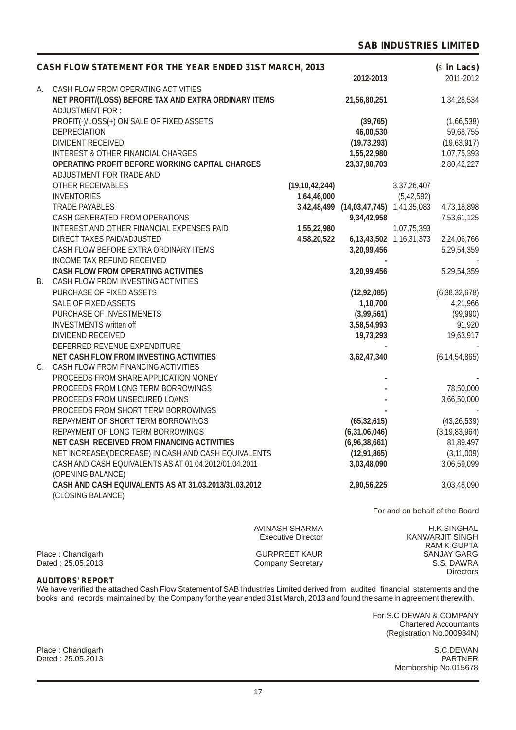|         | <b>CASH FLOW STATEMENT FOR THE YEAR ENDED 31ST MARCH, 2013</b> |                   |                                        |                               | (s in Lacs)      |
|---------|----------------------------------------------------------------|-------------------|----------------------------------------|-------------------------------|------------------|
|         |                                                                |                   | 2012-2013                              |                               | 2011-2012        |
| А.      | CASH FLOW FROM OPERATING ACTIVITIES                            |                   |                                        |                               |                  |
|         | NET PROFIT/(LOSS) BEFORE TAX AND EXTRA ORDINARY ITEMS          |                   | 21,56,80,251                           |                               | 1,34,28,534      |
|         | <b>ADJUSTMENT FOR:</b>                                         |                   |                                        |                               |                  |
|         | PROFIT(-)/LOSS(+) ON SALE OF FIXED ASSETS                      |                   | (39, 765)                              |                               | (1,66,538)       |
|         | <b>DEPRECIATION</b>                                            |                   | 46,00,530                              |                               | 59,68,755        |
|         | <b>DIVIDENT RECEIVED</b>                                       |                   | (19, 73, 293)                          |                               | (19,63,917)      |
|         | <b>INTEREST &amp; OTHER FINANCIAL CHARGES</b>                  |                   | 1,55,22,980                            |                               | 1,07,75,393      |
|         | OPERATING PROFIT BEFORE WORKING CAPITAL CHARGES                |                   | 23,37,90,703                           |                               | 2,80,42,227      |
|         | ADJUSTMENT FOR TRADE AND                                       |                   |                                        |                               |                  |
|         | <b>OTHER RECEIVABLES</b>                                       | (19, 10, 42, 244) |                                        | 3,37,26,407                   |                  |
|         | <b>INVENTORIES</b>                                             | 1,64,46,000       |                                        | (5, 42, 592)                  |                  |
|         | <b>TRADE PAYABLES</b>                                          |                   | 3,42,48,499 (14,03,47,745) 1,41,35,083 |                               | 4,73,18,898      |
|         | CASH GENERATED FROM OPERATIONS                                 |                   | 9,34,42,958                            |                               | 7,53,61,125      |
|         | INTEREST AND OTHER FINANCIAL EXPENSES PAID                     | 1,55,22,980       |                                        | 1,07,75,393                   |                  |
|         | DIRECT TAXES PAID/ADJUSTED                                     | 4,58,20,522       |                                        | 6, 13, 43, 502 1, 16, 31, 373 | 2,24,06,766      |
|         | CASH FLOW BEFORE EXTRA ORDINARY ITEMS                          |                   | 3,20,99,456                            |                               | 5,29,54,359      |
|         | <b>INCOME TAX REFUND RECEIVED</b>                              |                   |                                        |                               |                  |
|         | CASH FLOW FROM OPERATING ACTIVITIES                            |                   | 3,20,99,456                            |                               | 5,29,54,359      |
| В.      | CASH FLOW FROM INVESTING ACTIVITIES                            |                   |                                        |                               |                  |
|         | PURCHASE OF FIXED ASSETS                                       |                   | (12, 92, 085)                          |                               | (6, 38, 32, 678) |
|         | SALE OF FIXED ASSETS                                           |                   | 1,10,700                               |                               | 4,21,966         |
|         | PURCHASE OF INVESTMENETS                                       |                   | (3,99,561)                             |                               | (99,990)         |
|         | <b>INVESTMENTS</b> written off                                 |                   | 3,58,54,993                            |                               | 91,920           |
|         | <b>DIVIDEND RECEIVED</b>                                       |                   | 19,73,293                              |                               | 19,63,917        |
|         | DEFERRED REVENUE EXPENDITURE                                   |                   |                                        |                               |                  |
|         | NET CASH FLOW FROM INVESTING ACTIVITIES                        |                   | 3,62,47,340                            |                               | (6, 14, 54, 865) |
| $C_{1}$ | CASH FLOW FROM FINANCING ACTIVITIES                            |                   |                                        |                               |                  |
|         | PROCEEDS FROM SHARE APPLICATION MONEY                          |                   |                                        |                               |                  |
|         | PROCEEDS FROM LONG TERM BORROWINGS                             |                   |                                        |                               | 78,50,000        |
|         | PROCEEDS FROM UNSECURED LOANS                                  |                   |                                        |                               | 3,66,50,000      |
|         | PROCEEDS FROM SHORT TERM BORROWINGS                            |                   |                                        |                               |                  |
|         | REPAYMENT OF SHORT TERM BORROWINGS                             |                   | (65, 32, 615)                          |                               | (43, 26, 539)    |
|         | REPAYMENT OF LONG TERM BORROWINGS                              |                   | (6, 31, 06, 046)                       |                               | (3, 19, 83, 964) |
|         | NET CASH RECEIVED FROM FINANCING ACTIVITIES                    |                   | (6,96,38,661)                          |                               | 81,89,497        |
|         | NET INCREASE/(DECREASE) IN CASH AND CASH EQUIVALENTS           |                   | (12, 91, 865)                          |                               | (3, 11, 009)     |
|         | CASH AND CASH EQUIVALENTS AS AT 01.04.2012/01.04.2011          |                   | 3,03,48,090                            |                               | 3,06,59,099      |
|         | (OPENING BALANCE)                                              |                   |                                        |                               |                  |
|         | CASH AND CASH EQUIVALENTS AS AT 31.03.2013/31.03.2012          |                   | 2,90,56,225                            |                               | 3,03,48,090      |
|         | (CLOSING BALANCE)                                              |                   |                                        |                               |                  |
|         |                                                                |                   |                                        |                               |                  |

For and on behalf of the Board

Place : Chandigarh GURPREET KAUR SANJAY GARG

Company Secretary

 AVINASH SHARMA H.K.SINGHAL KANWARJIT SINGH RAM K GUPTA<br>SANJAY GARG **Directors** 

### **AUDITORS' REPORT**

We have verified the attached Cash Flow Statement of SAB Industries Limited derived from audited financial statements and the books and records maintained by the Company for the year ended 31st March, 2013 and found the same in agreement therewith.

> For S.C DEWAN & COMPANY Chartered Accountants (Registration No.000934N)

 $Dated : 25.05.2013$ 

Place : Chandigarh S.C.DEWAN S.C.DEWAN S.C.DEWAN S.C.DEWAN S.C.DEWAN S.C.DEWAN S.C.DEWAN S.C.DEWAN S.C.DEWAN S.C.DEWAN Membership No.015678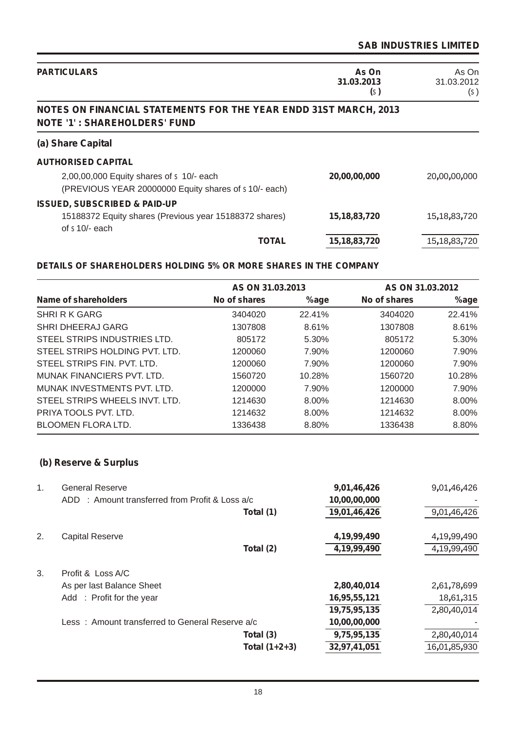| <b>PARTICULARS</b>                                                                                      | As On<br>31.03.2013<br>(s) | As On<br>31.03.2012<br>(s) |
|---------------------------------------------------------------------------------------------------------|----------------------------|----------------------------|
| NOTES ON FINANCIAL STATEMENTS FOR THE YEAR ENDD 31ST MARCH, 2013<br><b>NOTE '1': SHAREHOLDERS' FUND</b> |                            |                            |
| (a) Share Capital                                                                                       |                            |                            |
| <b>AUTHORISED CAPITAL</b>                                                                               |                            |                            |
| 2,00,00,000 Equity shares of s 10/- each<br>(PREVIOUS YEAR 20000000 Equity shares of s10/- each)        | 20,00,00,000               | 20,00,00,000               |
| <b>ISSUED, SUBSCRIBED &amp; PAID-UP</b>                                                                 |                            |                            |
| 15188372 Equity shares (Previous year 15188372 shares)<br>of $\frac{10}{5}$ each                        | 15, 18, 83, 720            | 15, 18, 83, 720            |
| <b>TOTAL</b>                                                                                            | 15, 18, 83, 720            | 15, 18, 83, 720            |

### **DETAILS OF SHAREHOLDERS HOLDING 5% OR MORE SHARES IN THE COMPANY**

|                                | AS ON 31.03.2013 |        | AS ON 31.03.2012 |        |
|--------------------------------|------------------|--------|------------------|--------|
| Name of shareholders           | No of shares     | %age   | No of shares     | %age   |
| SHRI R K GARG                  | 3404020          | 22.41% | 3404020          | 22.41% |
| SHRI DHEERAJ GARG              | 1307808          | 8.61%  | 1307808          | 8.61%  |
| STEEL STRIPS INDUSTRIES LTD.   | 805172           | 5.30%  | 805172           | 5.30%  |
| STEEL STRIPS HOLDING PVT. LTD. | 1200060          | 7.90%  | 1200060          | 7.90%  |
| STEEL STRIPS FIN. PVT. LTD.    | 1200060          | 7.90%  | 1200060          | 7.90%  |
| MUNAK FINANCIERS PVT. LTD.     | 1560720          | 10.28% | 1560720          | 10.28% |
| MUNAK INVESTMENTS PVT. LTD.    | 1200000          | 7.90%  | 1200000          | 7.90%  |
| STEEL STRIPS WHEELS INVT. LTD. | 1214630          | 8.00%  | 1214630          | 8.00%  |
| PRIYA TOOLS PVT. LTD.          | 1214632          | 8.00%  | 1214632          | 8.00%  |
| <b>BLOOMEN FLORA LTD.</b>      | 1336438          | 8.80%  | 1336438          | 8.80%  |

### **(b) Reserve & Surplus**

| 1. | <b>General Reserve</b>                          |               | 9,01,46,426  | 9,01,46,426  |
|----|-------------------------------------------------|---------------|--------------|--------------|
|    | ADD : Amount transferred from Profit & Loss a/c |               | 10,00,00,000 |              |
|    |                                                 | Total (1)     | 19,01,46,426 | 9,01,46,426  |
| 2. | <b>Capital Reserve</b>                          |               | 4,19,99,490  | 4,19,99,490  |
|    |                                                 | Total (2)     | 4,19,99,490  | 4,19,99,490  |
| 3. | Profit & Loss A/C                               |               |              |              |
|    | As per last Balance Sheet                       |               | 2,80,40,014  | 2,61,78,699  |
|    | Add: Profit for the year                        |               | 16,95,55,121 | 18,61,315    |
|    |                                                 |               | 19,75,95,135 | 2,80,40,014  |
|    | Less: Amount transferred to General Reserve a/c |               | 10,00,00,000 |              |
|    |                                                 | Total (3)     | 9,75,95,135  | 2,80,40,014  |
|    |                                                 | Total (1+2+3) | 32,97,41,051 | 16,01,85,930 |
|    |                                                 |               |              |              |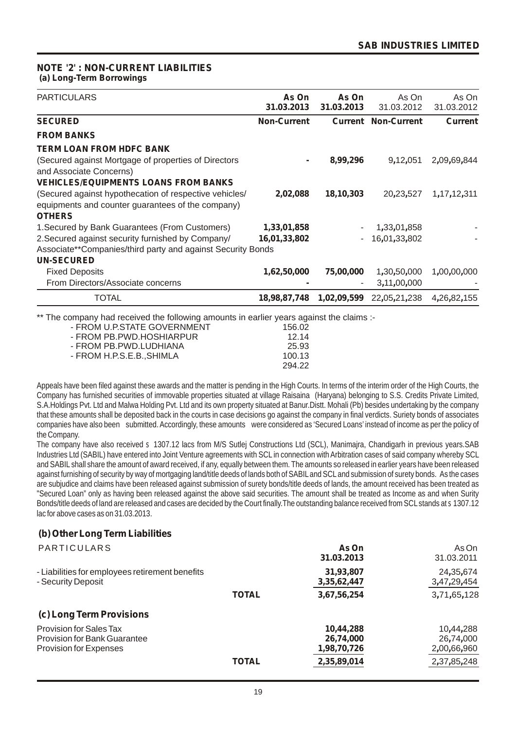### **NOTE '2' : NON-CURRENT LIABILITIES (a) Long-Term Borrowings**

| <b>PARTICULARS</b>                                                                                                           | As On<br>31.03.2013 | As On<br>31.03.2013 | As On<br>31.03.2012        | As On<br>31.03.2012 |
|------------------------------------------------------------------------------------------------------------------------------|---------------------|---------------------|----------------------------|---------------------|
| <b>SECURED</b>                                                                                                               | <b>Non-Current</b>  | Current             | <b>Non-Current</b>         | <b>Current</b>      |
| <b>FROM BANKS</b>                                                                                                            |                     |                     |                            |                     |
| <b>TERM LOAN FROM HDFC BANK</b>                                                                                              |                     |                     |                            |                     |
| (Secured against Mortgage of properties of Directors<br>and Associate Concerns)                                              |                     | 8,99,296            | 9,12,051                   | 2,09,69,844         |
| <b>VEHICLES/EQUIPMENTS LOANS FROM BANKS</b>                                                                                  |                     |                     |                            |                     |
| (Secured against hypothecation of respective vehicles/<br>equipments and counter guarantees of the company)<br><b>OTHERS</b> | 2,02,088            | 18,10,303           | 20,23,527                  | 1, 17, 12, 311      |
| 1. Secured by Bank Guarantees (From Customers)                                                                               | 1,33,01,858         |                     | 1,33,01,858                |                     |
| 2. Secured against security furnished by Company/<br>Associate**Companies/third party and against Security Bonds             | 16,01,33,802        |                     | 16,01,33,802               |                     |
| <b>UN-SECURED</b>                                                                                                            |                     |                     |                            |                     |
| <b>Fixed Deposits</b><br>From Directors/Associate concerns                                                                   | 1,62,50,000         | 75,00,000           | 1,30,50,000<br>3,11,00,000 | 1,00,00,000         |
| TOTAL                                                                                                                        | 18,98,87,748        | 1,02,09,599         | 22,05,21,238               | 4,26,82,155         |

\*\* The company had received the following amounts in earlier years against the claims :-

| - FROM U.P.STATE GOVERNMENT | 156.02 |
|-----------------------------|--------|
| - FROM PB PWD HOSHIARPUR    | 12 14  |
| - FROM PB.PWD.LUDHIANA      | 25.93  |
| - FROM H.P.S.E.BSHIMLA      | 100.13 |
|                             | 294.22 |

Appeals have been filed against these awards and the matter is pending in the High Courts. In terms of the interim order of the High Courts, the Company has furnished securities of immovable properties situated at village Raisaina (Haryana) belonging to S.S. Credits Private Limited, S.A.Holdings Pvt. Ltd and Malwa Holding Pvt. Ltd and its own property situated at Banur.Distt. Mohali (Pb) besides undertaking by the company that these amounts shall be deposited back in the courts in case decisions go against the company in final verdicts. Suriety bonds of associates companies have also been submitted. Accordingly, these amounts were considered as 'Secured Loans' instead of income as per the policy of the Company.

The company have also received s 1307.12 lacs from M/S Sutlej Constructions Ltd (SCL), Manimajra, Chandigarh in previous years.SAB Industries Ltd (SABIL) have entered into Joint Venture agreements with SCL in connection with Arbitration cases of said company whereby SCL and SABIL shall share the amount of award received, if any, equally between them. The amounts so released in earlier years have been released against furnishing of security by way of mortgaging land/title deeds of lands both of SABIL and SCL and submission of surety bonds. As the cases are subjudice and claims have been released against submission of surety bonds/title deeds of lands, the amount received has been treated as "Secured Loan" only as having been released against the above said securities. The amount shall be treated as Income as and when Surity Bonds/title deeds of land are released and cases are decided by the Court finally.The outstanding balance received from SCL stands at s1307.12 lac for above cases as on 31.03.2013.

### **(b) Other Long Term Liabilities**

| <b>PARTICULARS</b>                                                    |              | As On<br>31.03.2013      | As On<br>31.03.2011      |
|-----------------------------------------------------------------------|--------------|--------------------------|--------------------------|
| - Liabilities for employees retirement benefits<br>- Security Deposit |              | 31,93,807<br>3,35,62,447 | 24,35,674<br>3,47,29,454 |
|                                                                       | <b>TOTAL</b> | 3,67,56,254              | 3,71,65,128              |
| (c) Long Term Provisions                                              |              |                          |                          |
| <b>Provision for Sales Tax</b>                                        |              | 10,44,288                | 10,44,288                |
| <b>Provision for Bank Guarantee</b>                                   |              | 26,74,000                | 26,74,000                |
| <b>Provision for Expenses</b>                                         |              | 1,98,70,726              | 2,00,66,960              |
|                                                                       | <b>TOTAL</b> | 2,35,89,014              | 2,37,85,248              |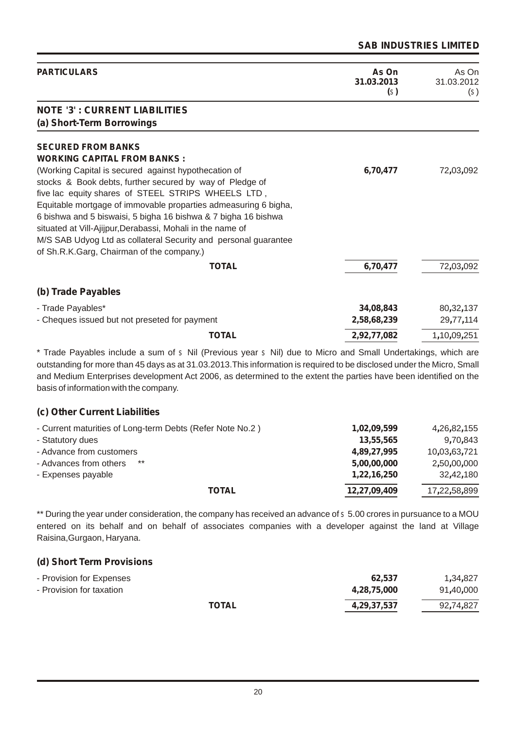| <b>PARTICULARS</b>                                                                                                                                                                                                                                                                                                                                                                                                                                                                        | As On<br>31.03.2013<br>(s) | As On<br>31.03.2012<br>(s) |
|-------------------------------------------------------------------------------------------------------------------------------------------------------------------------------------------------------------------------------------------------------------------------------------------------------------------------------------------------------------------------------------------------------------------------------------------------------------------------------------------|----------------------------|----------------------------|
| <b>NOTE '3': CURRENT LIABILITIES</b><br>(a) Short-Term Borrowings                                                                                                                                                                                                                                                                                                                                                                                                                         |                            |                            |
| <b>SECURED FROM BANKS</b><br><b>WORKING CAPITAL FROM BANKS:</b>                                                                                                                                                                                                                                                                                                                                                                                                                           |                            |                            |
| (Working Capital is secured against hypothecation of<br>stocks & Book debts, further secured by way of Pledge of<br>five lac equity shares of STEEL STRIPS WHEELS LTD,<br>Equitable mortgage of immovable proparties admeasuring 6 bigha,<br>6 bishwa and 5 biswaisi, 5 bigha 16 bishwa & 7 bigha 16 bishwa<br>situated at Vill-Ajijpur, Derabassi, Mohali in the name of<br>M/S SAB Udyog Ltd as collateral Security and personal guarantee<br>of Sh.R.K.Garg, Chairman of the company.) | 6,70,477                   | 72,03,092                  |
| <b>TOTAL</b>                                                                                                                                                                                                                                                                                                                                                                                                                                                                              | 6,70,477                   | 72,03,092                  |
| (b) Trade Payables                                                                                                                                                                                                                                                                                                                                                                                                                                                                        |                            |                            |
| - Trade Payables*<br>- Cheques issued but not preseted for payment                                                                                                                                                                                                                                                                                                                                                                                                                        | 34,08,843<br>2,58,68,239   | 80,32,137<br>29,77,114     |
| <b>TOTAL</b>                                                                                                                                                                                                                                                                                                                                                                                                                                                                              | 2,92,77,082                | 1,10,09,251                |

\* Trade Payables include a sum of s Nil (Previous year s Nil) due to Micro and Small Undertakings, which are outstanding for more than 45 days as at 31.03.2013.This information is required to be disclosed under the Micro, Small and Medium Enterprises development Act 2006, as determined to the extent the parties have been identified on the basis of information with the company.

### **(c) Other Current Liabilities**

| - Current maturities of Long-term Debts (Refer Note No.2) | 1,02,09,599  | 4,26,82,155  |
|-----------------------------------------------------------|--------------|--------------|
| - Statutory dues                                          | 13,55,565    | 9,70,843     |
| - Advance from customers                                  | 4,89,27,995  | 10,03,63,721 |
| $***$<br>- Advances from others                           | 5,00,00,000  | 2,50,00,000  |
| - Expenses payable                                        | 1,22,16,250  | 32,42,180    |
| <b>TOTAL</b>                                              | 12,27,09,409 | 17,22,58,899 |

\*\* During the year under consideration, the company has received an advance of s 5.00 crores in pursuance to a MOU entered on its behalf and on behalf of associates companies with a developer against the land at Village Raisina,Gurgaon, Haryana.

### **(d) Short Term Provisions**

| - Provision for Expenses | 62.537      | 1,34,827  |
|--------------------------|-------------|-----------|
| - Provision for taxation | 4,28,75,000 | 91,40,000 |
| <b>TOTAL</b>             | 4,29,37,537 | 92,74,827 |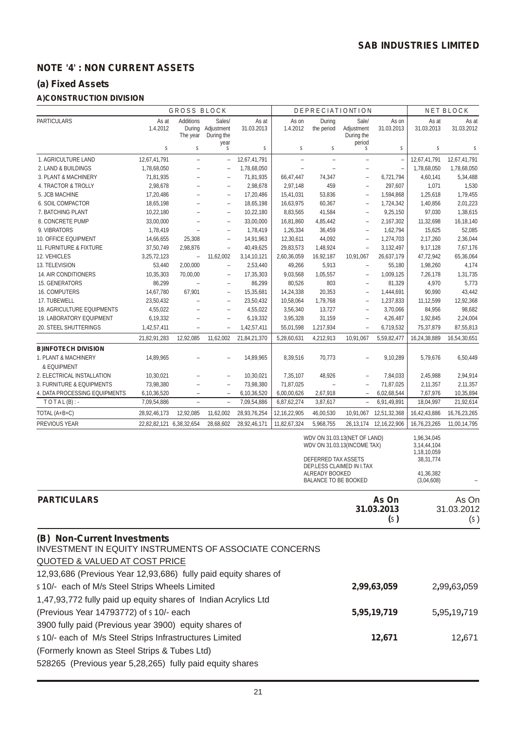### **NOTE '4' : NON CURRENT ASSETS**

### **(a) Fixed Assets**

### **A)CONSTRUCTION DIVISION**

|                                                                                              |                          | GROSS BLOCK              |                                               |                        |                        |                                                                             | DEPRECIATIONTION                                                                         |                             |                                                                                        | <b>NET BLOCK</b>           |
|----------------------------------------------------------------------------------------------|--------------------------|--------------------------|-----------------------------------------------|------------------------|------------------------|-----------------------------------------------------------------------------|------------------------------------------------------------------------------------------|-----------------------------|----------------------------------------------------------------------------------------|----------------------------|
| PARTICULARS                                                                                  | As at<br>1.4.2012        | Additions<br>The year    | Sales/<br>During Adjustment<br>During the     | As at<br>31.03.2013    | As on<br>1.4.2012      | During<br>the period                                                        | Sale/<br>Adjustment<br>During the                                                        | As on<br>31.03.2013         | As at<br>31.03.2013                                                                    | As at<br>31.03.2012        |
|                                                                                              | $\mathsf S$              | $\mathsf S$              | year<br>S                                     | S                      | $\mathsf S$            | S                                                                           | period<br>S                                                                              | $\mathsf S$                 | $\mathsf S$                                                                            | S                          |
| 1. AGRICULTURE LAND                                                                          | 12,67,41,791             | $\overline{\phantom{a}}$ | $\overline{\phantom{a}}$                      | 12,67,41,791           | $\overline{a}$         | $\overline{a}$                                                              | $\overline{a}$                                                                           |                             | 12,67,41,791                                                                           | 12,67,41,791               |
| 2. LAND & BUILDINGS                                                                          | 1,78,68,050              | $\overline{a}$           | $\overline{\phantom{a}}$                      | 1,78,68,050            |                        |                                                                             |                                                                                          |                             | 1,78,68,050                                                                            | 1,78,68,050                |
| 3. PLANT & MACHINERY                                                                         | 71,81,935                |                          | $\qquad \qquad -$                             | 71,81,935              | 66,47,447              | 74,347                                                                      | $\overline{\phantom{0}}$                                                                 | 6,721,794                   | 4,60,141                                                                               | 5,34,488                   |
| 4. TRACTOR & TROLLY                                                                          | 2,98,678                 |                          | $\overline{\phantom{a}}$                      | 2,98,678               | 2,97,148               | 459                                                                         | $\overline{\phantom{0}}$                                                                 | 297,607                     | 1,071                                                                                  | 1,530                      |
| 5. JCB MACHINE                                                                               | 17,20,486                |                          | $\overline{\phantom{a}}$                      | 17,20,486              | 15,41,031              | 53,836                                                                      | $\qquad \qquad -$                                                                        | 1,594,868                   | 1,25,618                                                                               | 1,79,455                   |
| 6. SOIL COMPACTOR                                                                            | 18,65,198                |                          | $\overline{a}$                                | 18,65,198              | 16,63,975              | 60,367                                                                      | $\overline{\phantom{a}}$                                                                 | 1,724,342                   | 1,40,856                                                                               | 2,01,223                   |
| 7. BATCHING PLANT                                                                            | 10,22,180                |                          | $\qquad \qquad -$                             | 10,22,180              | 8,83,565               | 41,584                                                                      | $\overline{\phantom{0}}$                                                                 | 9,25,150                    | 97,030                                                                                 | 1,38,615                   |
| 8. CONCRETE PUMP                                                                             | 33,00,000                |                          | $\qquad \qquad -$                             | 33,00,000              | 16,81,860              | 4,85,442                                                                    | $\overline{\phantom{a}}$                                                                 | 2,167,302                   | 11,32,698                                                                              | 16,18,140                  |
| 9. VIBRATORS<br>10. OFFICE EQUIPMENT                                                         | 1,78,419                 |                          | $\overline{a}$                                | 1,78,419               | 1,26,334               | 36,459                                                                      | $\overline{\phantom{a}}$                                                                 | 1,62,794                    | 15,625                                                                                 | 52,085                     |
| 11. FURNITURE & FIXTURE                                                                      | 14,66,655<br>37,50,749   | 25,308<br>2,98,876       | $\overline{\phantom{0}}$<br>$\qquad \qquad -$ | 14,91,963<br>40,49,625 | 12,30,611<br>29,83,573 | 44,092<br>1,48,924                                                          | $\overline{\phantom{0}}$<br>$\overline{\phantom{a}}$                                     | 1,274,703<br>3,132,497      | 2,17,260<br>9,17,128                                                                   | 2,36,044<br>7,67,176       |
| 12. VEHICLES                                                                                 | 3,25,72,123              | $\overline{\phantom{a}}$ | 11,62,002                                     | 3,14,10,121            | 2,60,36,059            | 16,92,187                                                                   | 10,91,067                                                                                | 26,637,179                  | 47,72,942                                                                              | 65,36,064                  |
| 13. TELEVISION                                                                               | 53,440                   | 2,00,000                 | $\overline{\phantom{a}}$                      | 2,53,440               | 49,266                 | 5,913                                                                       | $\overline{\phantom{a}}$                                                                 | 55,180                      | 1,98,260                                                                               | 4,174                      |
| 14. AIR CONDITIONERS                                                                         | 10,35,303                | 70,00,00                 | $\overline{\phantom{a}}$                      | 17,35,303              | 9,03,568               | 1,05,557                                                                    | $\qquad \qquad -$                                                                        | 1,009,125                   | 7,26,178                                                                               | 1,31,735                   |
| <b>15. GENERATORS</b>                                                                        | 86,299                   |                          | $\overline{\phantom{a}}$                      | 86,299                 | 80,526                 | 803                                                                         | $\overline{\phantom{a}}$                                                                 | 81,329                      | 4,970                                                                                  | 5,773                      |
| 16. COMPUTERS                                                                                | 14,67,780                | 67,901                   | $\overline{a}$                                | 15,35,681              | 14,24,338              | 20,353                                                                      | $\overline{a}$                                                                           | 1,444,691                   | 90,990                                                                                 | 43,442                     |
| 17. TUBEWELL                                                                                 | 23,50,432                |                          | $\overline{\phantom{0}}$                      | 23,50,432              | 10,58,064              | 1,79,768                                                                    | $\overline{\phantom{0}}$                                                                 | 1,237,833                   | 11,12,599                                                                              | 12,92,368                  |
| <b>18. AGRICULTURE EQUIPMENTS</b>                                                            | 4,55,022                 |                          | $\overline{\phantom{a}}$                      | 4,55,022               | 3,56,340               | 13,727                                                                      | $\overline{\phantom{a}}$                                                                 | 3,70,066                    | 84,956                                                                                 | 98,682                     |
| 19. LABORATORY EQUIPMENT                                                                     | 6,19,332                 |                          | $\overline{a}$                                | 6,19,332               | 3,95,328               | 31,159                                                                      |                                                                                          | 4,26,487                    | 1,92,845                                                                               | 2,24,004                   |
| 20. STEEL SHUTTERINGS                                                                        | 1,42,57,411              | $\overline{a}$           | $\qquad \qquad -$                             | 1,42,57,411            | 55,01,598              | 1,217,934                                                                   | $\qquad \qquad -$                                                                        | 6,719,532                   | 75,37,879                                                                              | 87,55,813                  |
|                                                                                              | 21,82,91,283             | 12,92,085                | 11,62,002                                     | 21,84,21,370           | 5,28,60,631            | 4,212,913                                                                   | 10,91,067                                                                                | 5,59,82,477                 | 16,24,38,889                                                                           | 16,54,30,651               |
| <b>B)INFOTECH DIVISION</b><br>1. PLANT & MACHINERY<br>& EQUIPMENT                            | 14,89,965                |                          | $\overline{a}$                                | 14,89,965              | 8,39,516               | 70,773                                                                      |                                                                                          | 9,10,289                    | 5,79,676                                                                               | 6,50,449                   |
| 2. ELECTRICAL INSTALLATION                                                                   | 10,30,021                |                          |                                               | 10,30,021              | 7,35,107               | 48,926                                                                      |                                                                                          | 7,84,033                    | 2,45,988                                                                               | 2,94,914                   |
| 3. FURNITURE & EQUIPMENTS                                                                    | 73,98,380                |                          | $\overline{\phantom{0}}$                      | 73,98,380              | 71,87,025              |                                                                             | $\overline{a}$                                                                           | 71,87,025                   | 2,11,357                                                                               | 2,11,357                   |
| 4. DATA PROCESSING EQUIPMENTS                                                                | 6,10,36,520              | $\overline{\phantom{0}}$ | $\overline{\phantom{a}}$                      | 6,10,36,520            | 6,00,00,626            | 2,67,918                                                                    | $\overline{\phantom{a}}$                                                                 | 6,02,68,544                 | 7,67,976                                                                               | 10,35,894                  |
| $TOTAL(B)$ :-                                                                                | 7,09,54,886              |                          | $\qquad \qquad -$                             | 7,09,54,886            | 6,87,62,274            | 3,87,617                                                                    | $\overline{\phantom{a}}$                                                                 | 6,91,49,891                 | 18,04,997                                                                              | 21,92,614                  |
| TOTAL (A+B+C)                                                                                | 28,92,46,173             | 12,92,085                | 11,62,002                                     | 28,93,76,254           | 12, 16, 22, 905        | 46,00,530                                                                   | 10,91,067                                                                                | 12,51,32,368                | 16,42,43,886                                                                           | 16,76,23,265               |
| PREVIOUS YEAR                                                                                | 22,82,82,121 6,38,32,654 |                          | 28,68,602                                     | 28,92,46,171           | 11,82,67,324           | 5,968,755                                                                   |                                                                                          | 26, 13, 174 12, 16, 22, 906 | 16,76,23,265                                                                           | 11,00,14,795               |
|                                                                                              |                          |                          |                                               |                        |                        | <b>DEFERRED TAX ASSETS</b><br>ALREADY BOOKED<br><b>BALANCE TO BE BOOKED</b> | WDV ON 31.03.13(NET OF LAND)<br>WDV ON 31.03.13(INCOME TAX)<br>DEP.LESS CLAIMED IN I.TAX |                             | 1,96,34,045<br>3, 14, 44, 104<br>1,18,10,059<br>38, 31, 774<br>41,36,382<br>(3,04,608) |                            |
|                                                                                              |                          |                          |                                               |                        |                        |                                                                             |                                                                                          |                             |                                                                                        |                            |
| <b>PARTICULARS</b>                                                                           |                          |                          |                                               |                        |                        |                                                                             |                                                                                          | As On<br>31.03.2013<br>(s)  |                                                                                        | As On<br>31.03.2012<br>(s) |
| (B) Non-Current Investments<br><b>INVESTMENT IN EQUITY INSTRUMENTS OF ASSOCIATE CONCERNS</b> |                          |                          |                                               |                        |                        |                                                                             |                                                                                          |                             |                                                                                        |                            |
| <b>QUOTED &amp; VALUED AT COST PRICE</b>                                                     |                          |                          |                                               |                        |                        |                                                                             |                                                                                          |                             |                                                                                        |                            |
| 12,93,686 (Previous Year 12,93,686) fully paid equity shares of                              |                          |                          |                                               |                        |                        |                                                                             |                                                                                          |                             |                                                                                        |                            |
| s10/- each of M/s Steel Strips Wheels Limited                                                |                          |                          |                                               |                        |                        |                                                                             |                                                                                          | 2,99,63,059                 |                                                                                        | 2,99,63,059                |
| 1,47,93,772 fully paid up equity shares of Indian Acrylics Ltd                               |                          |                          |                                               |                        |                        |                                                                             |                                                                                          |                             |                                                                                        |                            |
| (Previous Year 14793772) of s10/- each                                                       |                          |                          |                                               |                        |                        |                                                                             |                                                                                          | 5,95,19,719                 |                                                                                        | 5,95,19,719                |
| 3900 fully paid (Previous year 3900) equity shares of                                        |                          |                          |                                               |                        |                        |                                                                             |                                                                                          |                             |                                                                                        |                            |
| s10/- each of M/s Steel Strips Infrastructures Limited                                       |                          |                          |                                               |                        |                        |                                                                             |                                                                                          | 12,671                      |                                                                                        | 12,671                     |
| (Formerly known as Steel Strips & Tubes Ltd)                                                 |                          |                          |                                               |                        |                        |                                                                             |                                                                                          |                             |                                                                                        |                            |

528265 (Previous year 5,28,265) fully paid equity shares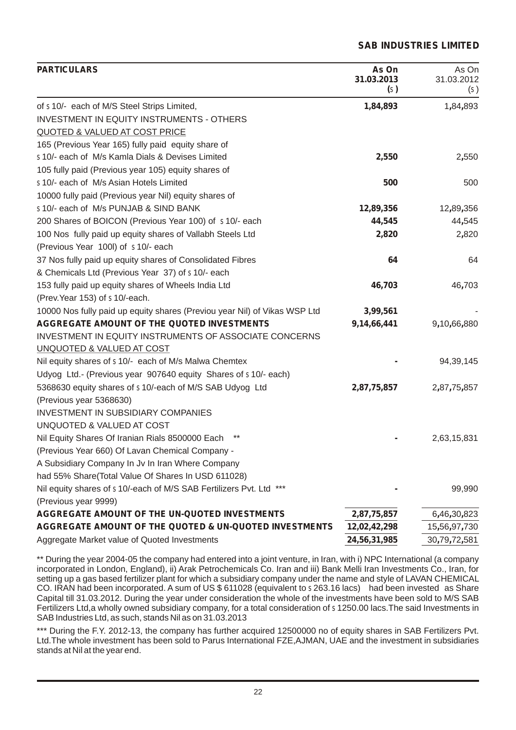| <b>PARTICULARS</b>                                                        | As On<br>31.03.2013<br>(s) | As On<br>31.03.2012<br>(s) |
|---------------------------------------------------------------------------|----------------------------|----------------------------|
| of s10/- each of M/S Steel Strips Limited,                                | 1,84,893                   | 1,84,893                   |
| <b>INVESTMENT IN EQUITY INSTRUMENTS - OTHERS</b>                          |                            |                            |
| <b>QUOTED &amp; VALUED AT COST PRICE</b>                                  |                            |                            |
| 165 (Previous Year 165) fully paid equity share of                        |                            |                            |
| s10/- each of M/s Kamla Dials & Devises Limited                           | 2,550                      | 2,550                      |
| 105 fully paid (Previous year 105) equity shares of                       |                            |                            |
| s10/- each of M/s Asian Hotels Limited                                    | 500                        | 500                        |
| 10000 fully paid (Previous year Nil) equity shares of                     |                            |                            |
| s10/- each of M/s PUNJAB & SIND BANK                                      | 12,89,356                  | 12,89,356                  |
| 200 Shares of BOICON (Previous Year 100) of s10/- each                    | 44,545                     | 44,545                     |
| 100 Nos fully paid up equity shares of Vallabh Steels Ltd                 | 2,820                      | 2,820                      |
| (Previous Year 100l) of s10/- each                                        |                            |                            |
| 37 Nos fully paid up equity shares of Consolidated Fibres                 | 64                         | 64                         |
| & Chemicals Ltd (Previous Year 37) of s10/- each                          |                            |                            |
| 153 fully paid up equity shares of Wheels India Ltd                       | 46,703                     | 46,703                     |
| (Prev.Year 153) of s10/-each.                                             |                            |                            |
| 10000 Nos fully paid up equity shares (Previou year Nil) of Vikas WSP Ltd | 3,99,561                   |                            |
| AGGREGATE AMOUNT OF THE QUOTED INVESTMENTS                                | 9,14,66,441                | 9,10,66,880                |
| INVESTMENT IN EQUITY INSTRUMENTS OF ASSOCIATE CONCERNS                    |                            |                            |
| UNQUOTED & VALUED AT COST                                                 |                            |                            |
| Nil equity shares of s10/- each of M/s Malwa Chemtex                      |                            | 94,39,145                  |
| Udyog Ltd.- (Previous year 907640 equity Shares of s10/- each)            |                            |                            |
| 5368630 equity shares of s10/-each of M/S SAB Udyog Ltd                   | 2,87,75,857                | 2,87,75,857                |
| (Previous year 5368630)                                                   |                            |                            |
| INVESTMENT IN SUBSIDIARY COMPANIES                                        |                            |                            |
| UNQUOTED & VALUED AT COST                                                 |                            |                            |
| Nil Equity Shares Of Iranian Rials 8500000 Each                           |                            | 2,63,15,831                |
| (Previous Year 660) Of Lavan Chemical Company -                           |                            |                            |
| A Subsidiary Company In Jv In Iran Where Company                          |                            |                            |
| had 55% Share(Total Value Of Shares In USD 611028)                        |                            |                            |
| Nil equity shares of s10/-each of M/S SAB Fertilizers Pvt. Ltd ***        |                            | 99,990                     |
| (Previous year 9999)                                                      |                            |                            |
| AGGREGATE AMOUNT OF THE UN-QUOTED INVESTMENTS                             | 2,87,75,857                | 6,46,30,823                |
| <b>AGGREGATE AMOUNT OF THE QUOTED &amp; UN-QUOTED INVESTMENTS</b>         | 12,02,42,298               | 15,56,97,730               |
| Aggregate Market value of Quoted Investments                              | 24,56,31,985               | 30,79,72,581               |

\*\* During the year 2004-05 the company had entered into a joint venture, in Iran, with i) NPC International (a company incorporated in London, England), ii) Arak Petrochemicals Co. Iran and iii) Bank Melli Iran Investments Co., Iran, for setting up a gas based fertilizer plant for which a subsidiary company under the name and style of LAVAN CHEMICAL CO. IRAN had been incorporated. A sum of US \$ 611028 (equivalent to s263.16 lacs) had been invested as Share Capital till 31.03.2012. During the year under consideration the whole of the investments have been sold to M/S SAB Fertilizers Ltd,a wholly owned subsidiary company, for a total consideration of s1250.00 lacs.The said Investments in SAB Industries Ltd, as such, stands Nil as on 31.03.2013

\*\*\* During the F.Y. 2012-13, the company has further acquired 12500000 no of equity shares in SAB Fertilizers Pvt. Ltd.The whole investment has been sold to Parus International FZE,AJMAN, UAE and the investment in subsidiaries stands at Nil at the year end.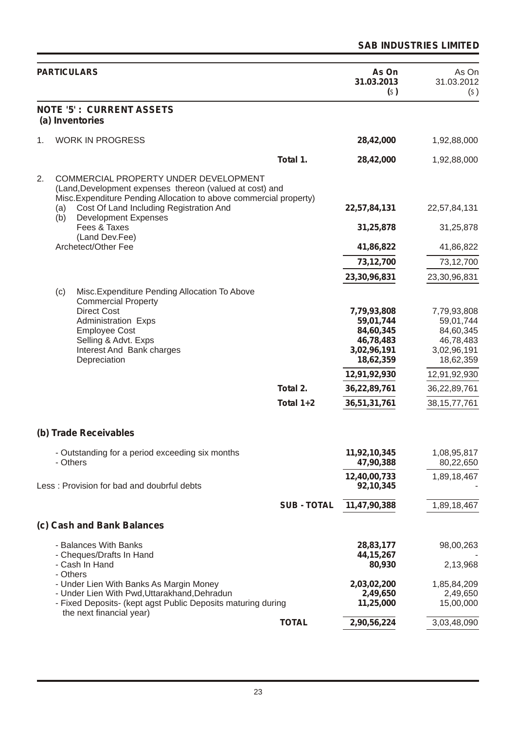|    | <b>PARTICULARS</b>                                                                                                                                                                                                        |                    | As On<br>31.03.2013<br>(s)                                                     | As On<br>31.03.2012<br>(s)                                                     |
|----|---------------------------------------------------------------------------------------------------------------------------------------------------------------------------------------------------------------------------|--------------------|--------------------------------------------------------------------------------|--------------------------------------------------------------------------------|
|    | <b>NOTE '5': CURRENT ASSETS</b><br>(a) Inventories                                                                                                                                                                        |                    |                                                                                |                                                                                |
| 1. | <b>WORK IN PROGRESS</b>                                                                                                                                                                                                   |                    | 28,42,000                                                                      | 1,92,88,000                                                                    |
|    |                                                                                                                                                                                                                           | Total 1.           | 28,42,000                                                                      | 1,92,88,000                                                                    |
| 2. | COMMERCIAL PROPERTY UNDER DEVELOPMENT<br>(Land, Development expenses thereon (valued at cost) and<br>Misc. Expenditure Pending Allocation to above commercial property)<br>Cost Of Land Including Registration And<br>(a) |                    | 22,57,84,131                                                                   | 22,57,84,131                                                                   |
|    | <b>Development Expenses</b><br>(b)<br>Fees & Taxes                                                                                                                                                                        |                    | 31,25,878                                                                      | 31,25,878                                                                      |
|    | (Land Dev.Fee)<br>Archetect/Other Fee                                                                                                                                                                                     |                    | 41,86,822                                                                      | 41,86,822                                                                      |
|    |                                                                                                                                                                                                                           |                    | 73,12,700                                                                      | 73,12,700                                                                      |
|    |                                                                                                                                                                                                                           |                    | 23,30,96,831                                                                   | 23,30,96,831                                                                   |
|    | Misc. Expenditure Pending Allocation To Above<br>(c)                                                                                                                                                                      |                    |                                                                                |                                                                                |
|    | <b>Commercial Property</b><br><b>Direct Cost</b><br><b>Administration Exps</b><br><b>Employee Cost</b><br>Selling & Advt. Exps<br>Interest And Bank charges<br>Depreciation                                               |                    | 7,79,93,808<br>59,01,744<br>84,60,345<br>46,78,483<br>3,02,96,191<br>18,62,359 | 7,79,93,808<br>59,01,744<br>84,60,345<br>46,78,483<br>3,02,96,191<br>18,62,359 |
|    |                                                                                                                                                                                                                           |                    | 12,91,92,930                                                                   | 12,91,92,930                                                                   |
|    |                                                                                                                                                                                                                           | Total 2.           | 36,22,89,761                                                                   | 36,22,89,761                                                                   |
|    |                                                                                                                                                                                                                           | Total $1+2$        | 36,51,31,761                                                                   | 38, 15, 77, 761                                                                |
|    | (b) Trade Receivables                                                                                                                                                                                                     |                    |                                                                                |                                                                                |
|    | - Outstanding for a period exceeding six months<br>- Others                                                                                                                                                               |                    | 11,92,10,345<br>47,90,388                                                      | 1,08,95,817<br>80,22,650                                                       |
|    | Less: Provision for bad and doubrful debts                                                                                                                                                                                |                    | 12,40,00,733<br>92,10,345                                                      | 1,89,18,467                                                                    |
|    |                                                                                                                                                                                                                           | <b>SUB - TOTAL</b> | 11,47,90,388                                                                   | 1,89,18,467                                                                    |
|    | (c) Cash and Bank Balances                                                                                                                                                                                                |                    |                                                                                |                                                                                |
|    | - Balances With Banks                                                                                                                                                                                                     |                    | 28,83,177                                                                      | 98,00,263                                                                      |
|    | - Cheques/Drafts In Hand<br>- Cash In Hand<br>- Others                                                                                                                                                                    |                    | 44, 15, 267<br>80,930                                                          | 2,13,968                                                                       |
|    | - Under Lien With Banks As Margin Money<br>- Under Lien With Pwd, Uttarakhand, Dehradun<br>- Fixed Deposits- (kept agst Public Deposits maturing during                                                                   |                    | 2,03,02,200<br>2,49,650<br>11,25,000                                           | 1,85,84,209<br>2,49,650<br>15,00,000                                           |
|    | the next financial year)                                                                                                                                                                                                  | <b>TOTAL</b>       | 2,90,56,224                                                                    | 3,03,48,090                                                                    |

### 23

### **SAB INDUSTRIES LIMITED**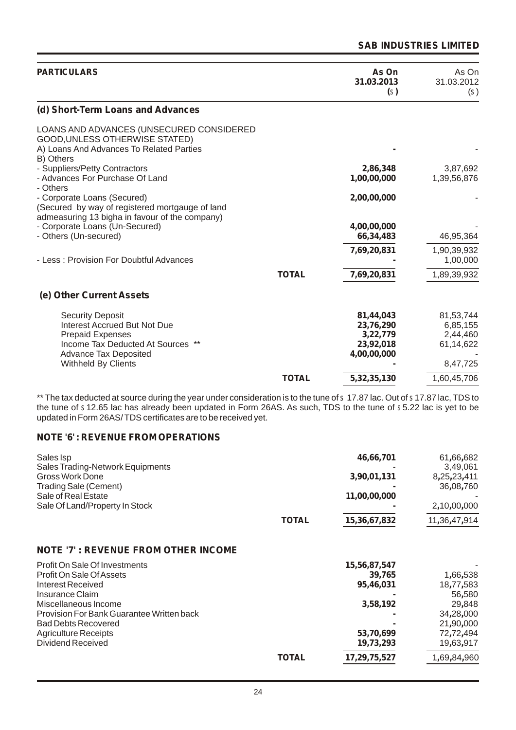| <b>PARTICULARS</b>                                                                                                                                                                    |              | As On<br>31.03.2013<br>(s)                                     | As On<br>31.03.2012<br>(s)                                 |
|---------------------------------------------------------------------------------------------------------------------------------------------------------------------------------------|--------------|----------------------------------------------------------------|------------------------------------------------------------|
| (d) Short-Term Loans and Advances                                                                                                                                                     |              |                                                                |                                                            |
| LOANS AND ADVANCES (UNSECURED CONSIDERED<br>GOOD, UNLESS OTHERWISE STATED)<br>A) Loans And Advances To Related Parties<br>B) Others                                                   |              |                                                                |                                                            |
| - Suppliers/Petty Contractors<br>- Advances For Purchase Of Land<br>- Others                                                                                                          |              | 2,86,348<br>1,00,00,000                                        | 3,87,692<br>1,39,56,876                                    |
| - Corporate Loans (Secured)<br>(Secured by way of registered mortgauge of land<br>admeasuring 13 bigha in favour of the company)                                                      |              | 2,00,00,000                                                    |                                                            |
| - Corporate Loans (Un-Secured)<br>- Others (Un-secured)                                                                                                                               |              | 4,00,00,000<br>66,34,483                                       | 46,95,364                                                  |
| - Less: Provision For Doubtful Advances                                                                                                                                               |              | 7,69,20,831                                                    | 1,90,39,932<br>1,00,000                                    |
|                                                                                                                                                                                       | <b>TOTAL</b> | 7,69,20,831                                                    | 1,89,39,932                                                |
| (e) Other Current Assets                                                                                                                                                              |              |                                                                |                                                            |
| <b>Security Deposit</b><br><b>Interest Accrued But Not Due</b><br><b>Prepaid Expenses</b><br>Income Tax Deducted At Sources **<br><b>Advance Tax Deposited</b><br>Withheld By Clients |              | 81,44,043<br>23,76,290<br>3,22,779<br>23,92,018<br>4,00,00,000 | 81,53,744<br>6,85,155<br>2,44,460<br>61,14,622<br>8,47,725 |
|                                                                                                                                                                                       | <b>TOTAL</b> | 5,32,35,130                                                    | 1,60,45,706                                                |

\*\* The tax deducted at source during the year under consideration is to the tune of s 17.87 lac. Out of s17.87 lac, TDS to the tune of s12.65 lac has already been updated in Form 26AS. As such, TDS to the tune of s5.22 lac is yet to be updated in Form 26AS/ TDS certificates are to be received yet.

### **NOTE '6' : REVENUE FROM OPERATIONS**

| Sales Isp<br>Sales Trading-Network Equipments<br><b>Gross Work Done</b><br><b>Trading Sale (Cement)</b><br>Sale of Real Estate<br>Sale Of Land/Property In Stock                                                                                                       |              | 46,66,701<br>3,90,01,131<br>11,00,00,000                                  | 61,66,682<br>3,49,061<br>8,25,23,411<br>36,08,760<br>2,10,00,000                              |
|------------------------------------------------------------------------------------------------------------------------------------------------------------------------------------------------------------------------------------------------------------------------|--------------|---------------------------------------------------------------------------|-----------------------------------------------------------------------------------------------|
|                                                                                                                                                                                                                                                                        | <b>TOTAL</b> | 15,36,67,832                                                              | 11,36,47,914                                                                                  |
| <b>NOTE '7': REVENUE FROM OTHER INCOME</b>                                                                                                                                                                                                                             |              |                                                                           |                                                                                               |
| Profit On Sale Of Investments<br>Profit On Sale Of Assets<br><b>Interest Received</b><br>Insurance Claim<br>Miscellaneous Income<br>Provision For Bank Guarantee Written back<br><b>Bad Debts Recovered</b><br><b>Agriculture Receipts</b><br><b>Dividend Received</b> |              | 15,56,87,547<br>39,765<br>95,46,031<br>3,58,192<br>53,70,699<br>19,73,293 | 1,66,538<br>18,77,583<br>56,580<br>29,848<br>34,28,000<br>21,90,000<br>72,72,494<br>19,63,917 |
|                                                                                                                                                                                                                                                                        | <b>TOTAL</b> | 17,29,75,527                                                              | 1,69,84,960                                                                                   |

### **SAB INDUSTRIES LIMITED**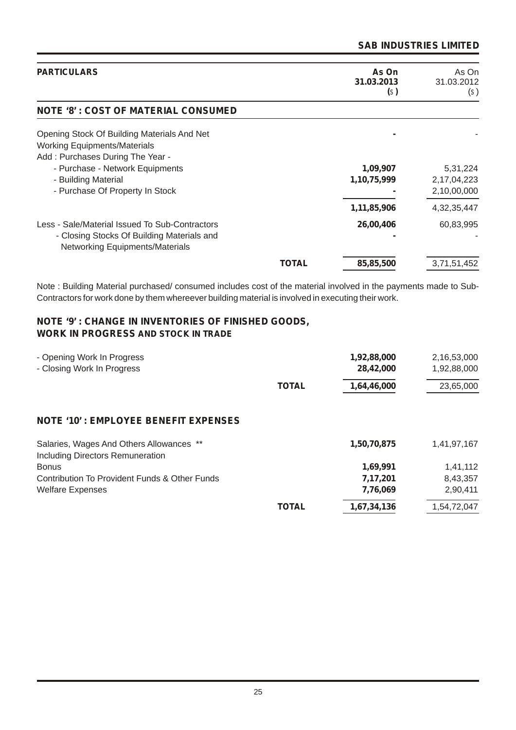| <b>PARTICULARS</b>                                                                                                              |       | As On<br>31.03.2013<br>(s) | As On<br>31.03.2012<br>(s)             |
|---------------------------------------------------------------------------------------------------------------------------------|-------|----------------------------|----------------------------------------|
| <b>NOTE '8': COST OF MATERIAL CONSUMED</b>                                                                                      |       |                            |                                        |
| Opening Stock Of Building Materials And Net<br><b>Working Equipments/Materials</b><br>Add: Purchases During The Year -          |       |                            |                                        |
| - Purchase - Network Equipments<br>- Building Material<br>- Purchase Of Property In Stock                                       |       | 1,09,907<br>1,10,75,999    | 5,31,224<br>2,17,04,223<br>2,10,00,000 |
|                                                                                                                                 |       | 1,11,85,906                | 4, 32, 35, 447                         |
| Less - Sale/Material Issued To Sub-Contractors<br>- Closing Stocks Of Building Materials and<br>Networking Equipments/Materials |       | 26,00,406                  | 60,83,995                              |
|                                                                                                                                 | TOTAL | 85,85,500                  | 3,71,51,452                            |

Note : Building Material purchased/ consumed includes cost of the material involved in the payments made to Sub-Contractors for work done by them whereever building material is involved in executing their work.

### **NOTE '9' : CHANGE IN INVENTORIES OF FINISHED GOODS, WORK IN PROGRESS AND STOCK IN TRADE**

| - Opening Work In Progress<br>- Closing Work In Progress                            |              | 1,92,88,000<br>28,42,000 | 2,16,53,000<br>1,92,88,000 |
|-------------------------------------------------------------------------------------|--------------|--------------------------|----------------------------|
|                                                                                     | <b>TOTAL</b> | 1,64,46,000              | 23,65,000                  |
| <b>NOTE '10': EMPLOYEE BENEFIT EXPENSES</b>                                         |              |                          |                            |
| Salaries, Wages And Others Allowances **<br><b>Including Directors Remuneration</b> |              | 1,50,70,875              | 1,41,97,167                |
| <b>Bonus</b>                                                                        |              | 1,69,991                 | 1,41,112                   |
| Contribution To Provident Funds & Other Funds                                       |              | 7,17,201                 | 8,43,357                   |
| <b>Welfare Expenses</b>                                                             |              | 7,76,069                 | 2,90,411                   |
|                                                                                     | <b>TOTAL</b> | 1,67,34,136              | 1,54,72,047                |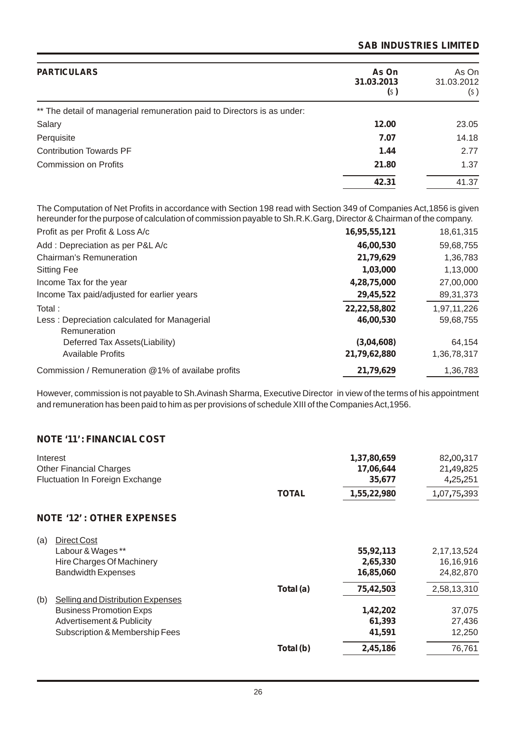| <b>PARTICULARS</b>                                                      | As On<br>31.03.2013<br>(s) | As On<br>31.03.2012<br>(s) |
|-------------------------------------------------------------------------|----------------------------|----------------------------|
| ** The detail of managerial remuneration paid to Directors is as under: |                            |                            |
| Salary                                                                  | 12.00                      | 23.05                      |
| Perquisite                                                              | 7.07                       | 14.18                      |
| <b>Contribution Towards PF</b>                                          | 1.44                       | 2.77                       |
| <b>Commission on Profits</b>                                            | 21.80                      | 1.37                       |
|                                                                         | 42.31                      | 41.37                      |

The Computation of Net Profits in accordance with Section 198 read with Section 349 of Companies Act,1856 is given hereunder for the purpose of calculation of commission payable to Sh.R.K.Garg, Director & Chairman of the company.

| Profit as per Profit & Loss A/c                   | 16,95,55,121 | 18,61,315   |
|---------------------------------------------------|--------------|-------------|
| Add: Depreciation as per P&L A/c                  | 46,00,530    | 59,68,755   |
| Chairman's Remuneration                           | 21,79,629    | 1,36,783    |
| <b>Sitting Fee</b>                                | 1,03,000     | 1,13,000    |
| Income Tax for the year                           | 4,28,75,000  | 27,00,000   |
| Income Tax paid/adjusted for earlier years        | 29,45,522    | 89, 31, 373 |
| Total:                                            | 22,22,58,802 | 1,97,11,226 |
| Less: Depreciation calculated for Managerial      | 46,00,530    | 59,68,755   |
| Remuneration                                      |              |             |
| Deferred Tax Assets (Liability)                   | (3,04,608)   | 64,154      |
| <b>Available Profits</b>                          | 21,79,62,880 | 1,36,78,317 |
| Commission / Remuneration @1% of availabe profits | 21,79,629    | 1.36.783    |

However, commission is not payable to Sh.Avinash Sharma, Executive Director in view of the terms of his appointment and remuneration has been paid to him as per provisions of schedule XIII of the Companies Act,1956.

### **NOTE '11': FINANCIAL COST**

|     | Interest<br><b>Other Financial Charges</b><br>Fluctuation In Foreign Exchange | <b>TOTAL</b> | 1,37,80,659<br>17,06,644<br>35,677<br>1,55,22,980 | 82,00,317<br>21,49,825<br>4,25,251<br>1,07,75,393 |
|-----|-------------------------------------------------------------------------------|--------------|---------------------------------------------------|---------------------------------------------------|
|     | <b>NOTE '12': OTHER EXPENSES</b>                                              |              |                                                   |                                                   |
| (a) | <b>Direct Cost</b>                                                            |              |                                                   |                                                   |
|     | Labour & Wages**                                                              |              | 55,92,113                                         | 2, 17, 13, 524                                    |
|     | Hire Charges Of Machinery                                                     |              | 2,65,330                                          | 16,16,916                                         |
|     | <b>Bandwidth Expenses</b>                                                     |              | 16,85,060                                         | 24,82,870                                         |
|     |                                                                               | Total (a)    | 75,42,503                                         | 2,58,13,310                                       |
| (b) | Selling and Distribution Expenses                                             |              |                                                   |                                                   |
|     | <b>Business Promotion Exps</b>                                                |              | 1,42,202                                          | 37,075                                            |
|     | <b>Advertisement &amp; Publicity</b>                                          |              | 61,393                                            | 27,436                                            |
|     | Subscription & Membership Fees                                                |              | 41,591                                            | 12,250                                            |
|     |                                                                               | Total (b)    | 2,45,186                                          | 76,761                                            |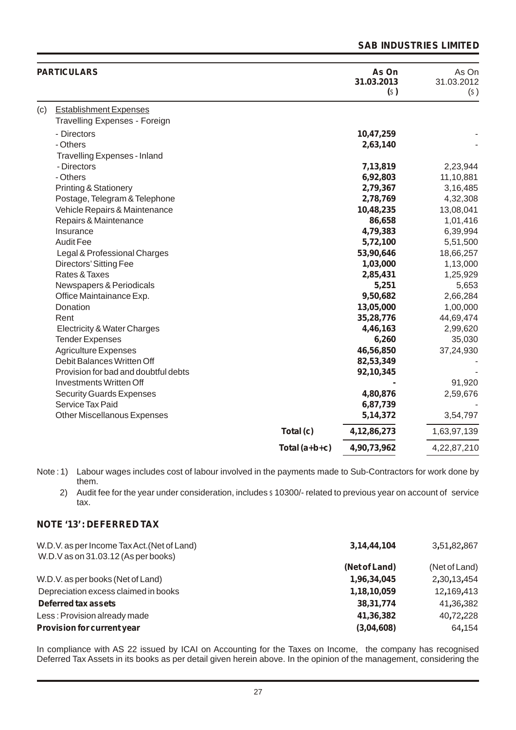|     | <b>PARTICULARS</b>                                                                                            |                 | As On<br>31.03.2013<br>(s)                  | As On<br>31.03.2012<br>(s)                    |
|-----|---------------------------------------------------------------------------------------------------------------|-----------------|---------------------------------------------|-----------------------------------------------|
| (c) | <b>Establishment Expenses</b><br>Travelling Expenses - Foreign                                                |                 |                                             |                                               |
|     | - Directors<br>- Others<br><b>Travelling Expenses - Inland</b>                                                |                 | 10,47,259<br>2,63,140                       |                                               |
|     | - Directors<br>- Others<br><b>Printing &amp; Stationery</b>                                                   |                 | 7,13,819<br>6,92,803<br>2,79,367            | 2,23,944<br>11,10,881<br>3,16,485             |
|     | Postage, Telegram & Telephone<br>Vehicle Repairs & Maintenance<br>Repairs & Maintenance<br>Insurance          |                 | 2,78,769<br>10,48,235<br>86,658<br>4,79,383 | 4,32,308<br>13,08,041<br>1,01,416<br>6,39,994 |
|     | <b>Audit Fee</b><br>Legal & Professional Charges<br><b>Directors' Sitting Fee</b><br>Rates & Taxes            |                 | 5,72,100<br>53,90,646<br>1,03,000           | 5,51,500<br>18,66,257<br>1,13,000             |
|     | Newspapers & Periodicals<br>Office Maintainance Exp.<br>Donation                                              |                 | 2,85,431<br>5,251<br>9,50,682<br>13,05,000  | 1,25,929<br>5,653<br>2,66,284<br>1,00,000     |
|     | Rent<br><b>Electricity &amp; Water Charges</b><br><b>Tender Expenses</b>                                      |                 | 35,28,776<br>4,46,163<br>6,260              | 44,69,474<br>2,99,620<br>35,030               |
|     | <b>Agriculture Expenses</b><br>Debit Balances Written Off<br>Provision for bad and doubtful debts             |                 | 46,56,850<br>82,53,349<br>92,10,345         | 37,24,930                                     |
|     | Investments Written Off<br><b>Security Guards Expenses</b><br>Service Tax Paid<br>Other Miscellanous Expenses |                 | 4,80,876<br>6,87,739<br>5, 14, 372          | 91,920<br>2,59,676<br>3,54,797                |
|     |                                                                                                               | Total (c)       | 4, 12, 86, 273                              | 1,63,97,139                                   |
|     |                                                                                                               | Total $(a+b+c)$ | 4,90,73,962                                 | 4,22,87,210                                   |

### Note : 1) Labour wages includes cost of labour involved in the payments made to Sub-Contractors for work done by them.

 2) Audit fee for the year under consideration, includes s10300/- related to previous year on account of service tax.

### **NOTE '13': DEFERRED TAX**

| W.D.V. as per Income Tax Act. (Net of Land)<br>W.D.V as on $31.03.12$ (As per books) | 3, 14, 44, 104 | 3,51,82,867   |
|--------------------------------------------------------------------------------------|----------------|---------------|
|                                                                                      | (Net of Land)  | (Net of Land) |
| W.D.V. as per books (Net of Land)                                                    | 1,96,34,045    | 2,30,13,454   |
| Depreciation excess claimed in books                                                 | 1,18,10,059    | 12,169,413    |
| Deferred tax assets                                                                  | 38, 31, 774    | 41,36,382     |
| Less: Provision already made                                                         | 41,36,382      | 40,72,228     |
| <b>Provision for current year</b>                                                    | (3,04,608)     | 64,154        |

In compliance with AS 22 issued by ICAI on Accounting for the Taxes on Income, the company has recognised Deferred Tax Assets in its books as per detail given herein above. In the opinion of the management, considering the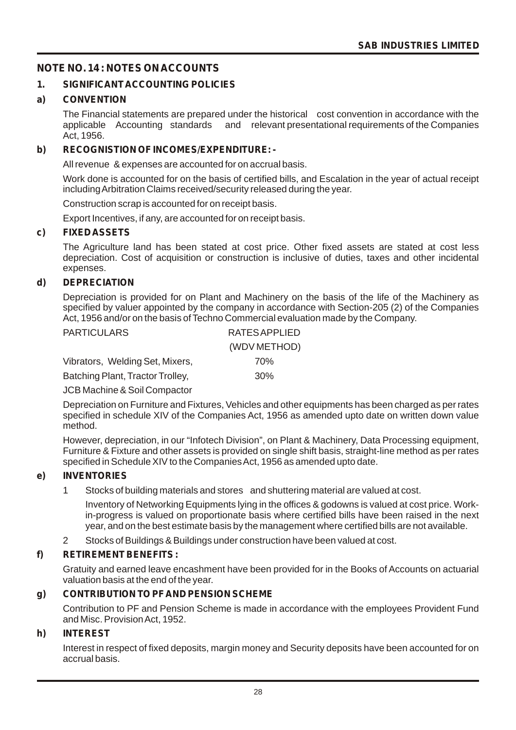### **NOTE NO. 14 : NOTES ON ACCOUNTS**

### **1. SIGNIFICANT ACCOUNTING POLICIES**

### **a) CONVENTION**

The Financial statements are prepared under the historical cost convention in accordance with the applicable Accounting standards and relevant presentational requirements of the Companies and relevant presentational requirements of the Companies Act, 1956.

### **b) RECOGNISTION OF INCOMES/EXPENDITURE: -**

All revenue & expenses are accounted for on accrual basis.

Work done is accounted for on the basis of certified bills, and Escalation in the year of actual receipt including Arbitration Claims received/security released during the year.

Construction scrap is accounted for on receipt basis.

Export Incentives, if any, are accounted for on receipt basis.

### **c) FIXED ASSETS**

The Agriculture land has been stated at cost price. Other fixed assets are stated at cost less depreciation. Cost of acquisition or construction is inclusive of duties, taxes and other incidental expenses.

### **d) DEPRECIATION**

Depreciation is provided for on Plant and Machinery on the basis of the life of the Machinery as specified by valuer appointed by the company in accordance with Section-205 (2) of the Companies Act, 1956 and/or on the basis of Techno Commercial evaluation made by the Company.

| <b>PARTICULARS</b>               | <b>RATESAPPLIED</b> |
|----------------------------------|---------------------|
|                                  | (WDV METHOD)        |
| Vibrators, Welding Set, Mixers,  | 70%                 |
| Batching Plant, Tractor Trolley, | 30%                 |
|                                  |                     |

JCB Machine & Soil Compactor

Depreciation on Furniture and Fixtures, Vehicles and other equipments has been charged as per rates specified in schedule XIV of the Companies Act, 1956 as amended upto date on written down value method.

However, depreciation, in our "Infotech Division", on Plant & Machinery, Data Processing equipment, Furniture & Fixture and other assets is provided on single shift basis, straight-line method as per rates specified in Schedule XIV to the Companies Act, 1956 as amended upto date.

### **e) INVENTORIES**

1 Stocks of building materials and stores and shuttering material are valued at cost.

Inventory of Networking Equipments lying in the offices & godowns is valued at cost price. Workin-progress is valued on proportionate basis where certified bills have been raised in the next year, and on the best estimate basis by the management where certified bills are not available.

2 Stocks of Buildings & Buildings under construction have been valued at cost.

### **f) RETIREMENT BENEFITS :**

Gratuity and earned leave encashment have been provided for in the Books of Accounts on actuarial valuation basis at the end of the year.

### **g) CONTRIBUTION TO PF AND PENSION SCHEME**

Contribution to PF and Pension Scheme is made in accordance with the employees Provident Fund and Misc. Provision Act, 1952.

### **h) INTEREST**

Interest in respect of fixed deposits, margin money and Security deposits have been accounted for on accrual basis.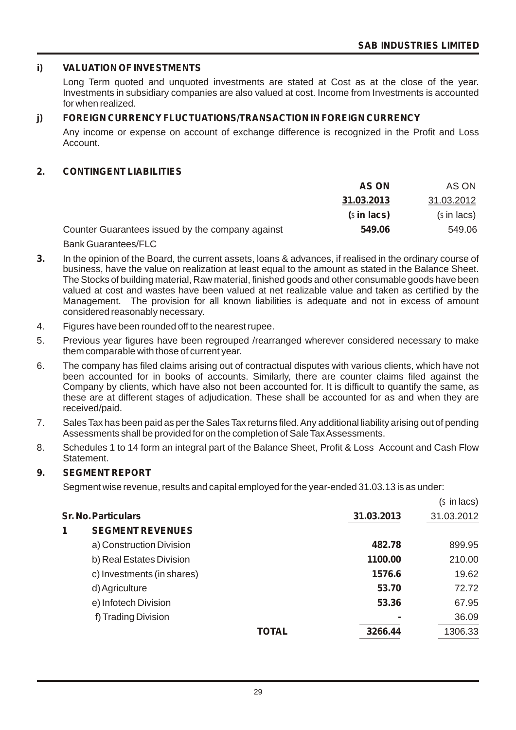$(c \in \mathsf{I} \cap c)$ 

### **i) VALUATION OF INVESTMENTS**

Long Term quoted and unquoted investments are stated at Cost as at the close of the year. Investments in subsidiary companies are also valued at cost. Income from Investments is accounted for when realized.

### **j) FOREIGN CURRENCYFLUCTUATIONS/TRANSACTION IN FOREIGN CURRENCY**

Any income or expense on account of exchange difference is recognized in the Profit and Loss Account.

### **2. CONTINGENT LIABILITIES**

|                                                  | <b>AS ON</b> | AS ON      |
|--------------------------------------------------|--------------|------------|
|                                                  | 31.03.2013   | 31.03.2012 |
|                                                  | (sin lacs)   | (sin lacs) |
| Counter Guarantees issued by the company against | 549.06       | 549.06     |
|                                                  |              |            |

Bank Guarantees/FLC

- **3.** In the opinion of the Board, the current assets, loans & advances, if realised in the ordinary course of business, have the value on realization at least equal to the amount as stated in the Balance Sheet. The Stocks of building material, Raw material, finished goods and other consumable goods have been valued at cost and wastes have been valued at net realizable value and taken as certified by the Management. The provision for all known liabilities is adequate and not in excess of amount considered reasonably necessary.
- 4. Figures have been rounded off to the nearest rupee.
- 5. Previous year figures have been regrouped /rearranged wherever considered necessary to make them comparable with those of current year.
- 6. The company has filed claims arising out of contractual disputes with various clients, which have not been accounted for in books of accounts. Similarly, there are counter claims filed against the Company by clients, which have also not been accounted for. It is difficult to quantify the same, as these are at different stages of adjudication. These shall be accounted for as and when they are received/paid.
- 7. Sales Tax has been paid as per the Sales Tax returns filed. Any additional liability arising out of pending Assessments shall be provided for on the completion of Sale Tax Assessments.
- 8. Schedules 1 to 14 form an integral part of the Balance Sheet, Profit & Loss Account and Cash Flow Statement.

### **9. SEGMENT REPORT**

Segment wise revenue, results and capital employed for the year-ended 31.03.13 is as under:

|   |                            |              |            | , ان ۱۱۱ افر |
|---|----------------------------|--------------|------------|--------------|
|   | <b>Sr. No. Particulars</b> |              | 31.03.2013 | 31.03.2012   |
| 1 | <b>SEGMENT REVENUES</b>    |              |            |              |
|   | a) Construction Division   |              | 482.78     | 899.95       |
|   | b) Real Estates Division   |              | 1100.00    | 210.00       |
|   | c) Investments (in shares) |              | 1576.6     | 19.62        |
|   | d) Agriculture             |              | 53.70      | 72.72        |
|   | e) Infotech Division       |              | 53.36      | 67.95        |
|   | f) Trading Division        |              |            | 36.09        |
|   |                            | <b>TOTAL</b> | 3266.44    | 1306.33      |
|   |                            |              |            |              |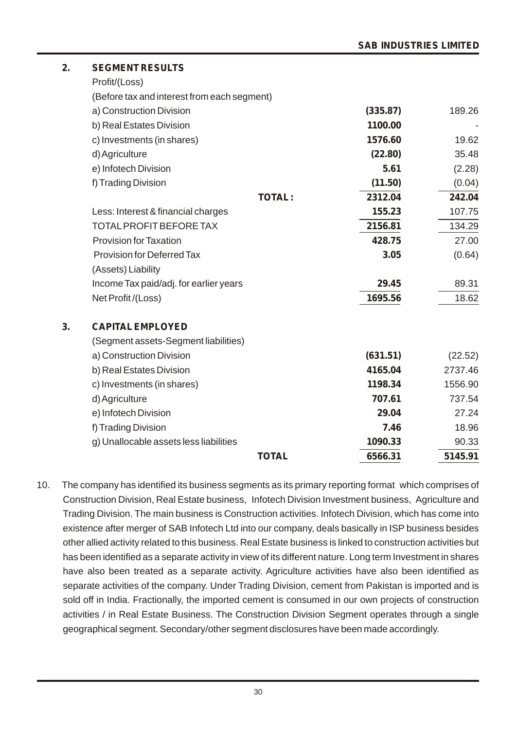| 2. | <b>SEGMENT RESULTS</b>                      |               |          |         |
|----|---------------------------------------------|---------------|----------|---------|
|    | Profit/(Loss)                               |               |          |         |
|    | (Before tax and interest from each segment) |               |          |         |
|    | a) Construction Division                    |               | (335.87) | 189.26  |
|    | b) Real Estates Division                    |               | 1100.00  |         |
|    | c) Investments (in shares)                  |               | 1576.60  | 19.62   |
|    | d) Agriculture                              |               | (22.80)  | 35.48   |
|    | e) Infotech Division                        |               | 5.61     | (2.28)  |
|    | f) Trading Division                         |               | (11.50)  | (0.04)  |
|    |                                             | <b>TOTAL:</b> | 2312.04  | 242.04  |
|    | Less: Interest & financial charges          |               | 155.23   | 107.75  |
|    | <b>TOTAL PROFIT BEFORE TAX</b>              |               | 2156.81  | 134.29  |
|    | <b>Provision for Taxation</b>               |               | 428.75   | 27.00   |
|    | <b>Provision for Deferred Tax</b>           |               | 3.05     | (0.64)  |
|    | (Assets) Liability                          |               |          |         |
|    | Income Tax paid/adj. for earlier years      |               | 29.45    | 89.31   |
|    | Net Profit /(Loss)                          |               | 1695.56  | 18.62   |
| 3. | <b>CAPITAL EMPLOYED</b>                     |               |          |         |
|    | (Segment assets-Segment liabilities)        |               |          |         |
|    | a) Construction Division                    |               | (631.51) | (22.52) |
|    | b) Real Estates Division                    |               | 4165.04  | 2737.46 |
|    | c) Investments (in shares)                  |               | 1198.34  | 1556.90 |
|    | d) Agriculture                              |               | 707.61   | 737.54  |
|    | e) Infotech Division                        |               | 29.04    | 27.24   |
|    | f) Trading Division                         |               | 7.46     | 18.96   |
|    | g) Unallocable assets less liabilities      |               | 1090.33  | 90.33   |
|    |                                             | <b>TOTAL</b>  | 6566.31  | 5145.91 |

10. The company has identified its business segments as its primary reporting format which comprises of Construction Division, Real Estate business, Infotech Division Investment business, Agriculture and Trading Division. The main business is Construction activities. Infotech Division, which has come into existence after merger of SAB Infotech Ltd into our company, deals basically in ISP business besides other allied activity related to this business. Real Estate business is linked to construction activities but has been identified as a separate activity in view of its different nature. Long term Investment in shares have also been treated as a separate activity. Agriculture activities have also been identified as separate activities of the company. Under Trading Division, cement from Pakistan is imported and is sold off in India. Fractionally, the imported cement is consumed in our own projects of construction activities / in Real Estate Business. The Construction Division Segment operates through a single geographical segment. Secondary/other segment disclosures have been made accordingly.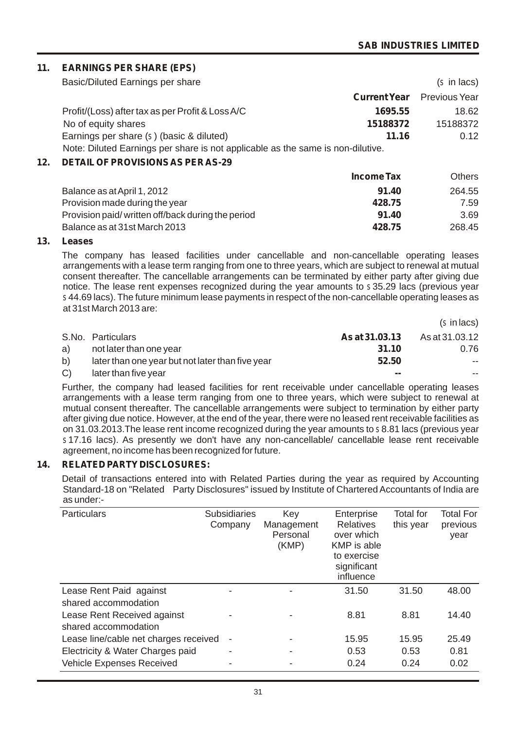### **11. EARNINGS PER SHARE (EPS)**

|     | Basic/Diluted Earnings per share                                                |                     | (s in lacs)          |
|-----|---------------------------------------------------------------------------------|---------------------|----------------------|
|     |                                                                                 | <b>Current Year</b> | <b>Previous Year</b> |
|     | Profit/(Loss) after tax as per Profit & Loss A/C                                | 1695.55             | 18.62                |
|     | No of equity shares                                                             | 15188372            | 15188372             |
|     | Earnings per share (s) (basic & diluted)                                        | 11.16               | 0.12                 |
|     | Note: Diluted Earnings per share is not applicable as the same is non-dilutive. |                     |                      |
| 12. | <b>DETAIL OF PROVISIONS AS PER AS-29</b>                                        |                     |                      |
|     |                                                                                 | <b>Income Tax</b>   | <b>Others</b>        |
|     | Balance as at April 1, 2012                                                     | 91.40               | 264.55               |
|     | Provision made during the year                                                  | 428.75              | 7.59                 |
|     | Provision paid/written off/back during the period                               | 91.40               | 3.69                 |

### **13. Leases**

The company has leased facilities under cancellable and non-cancellable operating leases arrangements with a lease term ranging from one to three years, which are subject to renewal at mutual consent thereafter. The cancellable arrangements can be terminated by either party after giving due notice. The lease rent expenses recognized during the year amounts to s35.29 lacs (previous year s44.69 lacs). The future minimum lease payments in respect of the non-cancellable operating leases as at 31st March 2013 are:

Balance as at 31st March 2013 **428.75** 268.45

|    |                                                  |                | $(s$ in lacs)  |
|----|--------------------------------------------------|----------------|----------------|
|    | S.No. Particulars                                | As at 31.03.13 | As at 31.03.12 |
| a) | not later than one year                          | 31.10          | 0.76           |
| b) | later than one year but not later than five year | 52.50          | $- -$          |
| C) | later than five year                             | --             | $- -$          |

Further, the company had leased facilities for rent receivable under cancellable operating leases arrangements with a lease term ranging from one to three years, which were subject to renewal at mutual consent thereafter. The cancellable arrangements were subject to termination by either party after giving due notice. However, at the end of the year, there were no leased rent receivable facilities as on 31.03.2013.The lease rent income recognized during the year amounts to s8.81 lacs (previous year s17.16 lacs). As presently we don't have any non-cancellable/ cancellable lease rent receivable agreement, no income has been recognized for future.

### **14. RELATED PARTY DISCLOSURES:**

Detail of transactions entered into with Related Parties during the year as required by Accounting Standard-18 on "Related Party Disclosures" issued by Institute of Chartered Accountants of India are as under:-

| <b>Particulars</b>                    | <b>Subsidiaries</b><br>Company | Key<br>Management<br>Personal<br>(KMP) | Enterprise<br><b>Relatives</b><br>over which<br>KMP is able<br>to exercise<br>significant<br>influence | <b>Total for</b><br>this year | <b>Total For</b><br>previous<br>year |
|---------------------------------------|--------------------------------|----------------------------------------|--------------------------------------------------------------------------------------------------------|-------------------------------|--------------------------------------|
| Lease Rent Paid against               |                                |                                        | 31.50                                                                                                  | 31.50                         | 48.00                                |
| shared accommodation                  |                                |                                        |                                                                                                        |                               |                                      |
| Lease Rent Received against           |                                |                                        | 8.81                                                                                                   | 8.81                          | 14.40                                |
| shared accommodation                  |                                |                                        |                                                                                                        |                               |                                      |
| Lease line/cable net charges received | $\overline{a}$                 |                                        | 15.95                                                                                                  | 15.95                         | 25.49                                |
| Electricity & Water Charges paid      | $\overline{\phantom{a}}$       |                                        | 0.53                                                                                                   | 0.53                          | 0.81                                 |
| <b>Vehicle Expenses Received</b>      | $\overline{\phantom{a}}$       |                                        | 0.24                                                                                                   | 0.24                          | 0.02                                 |